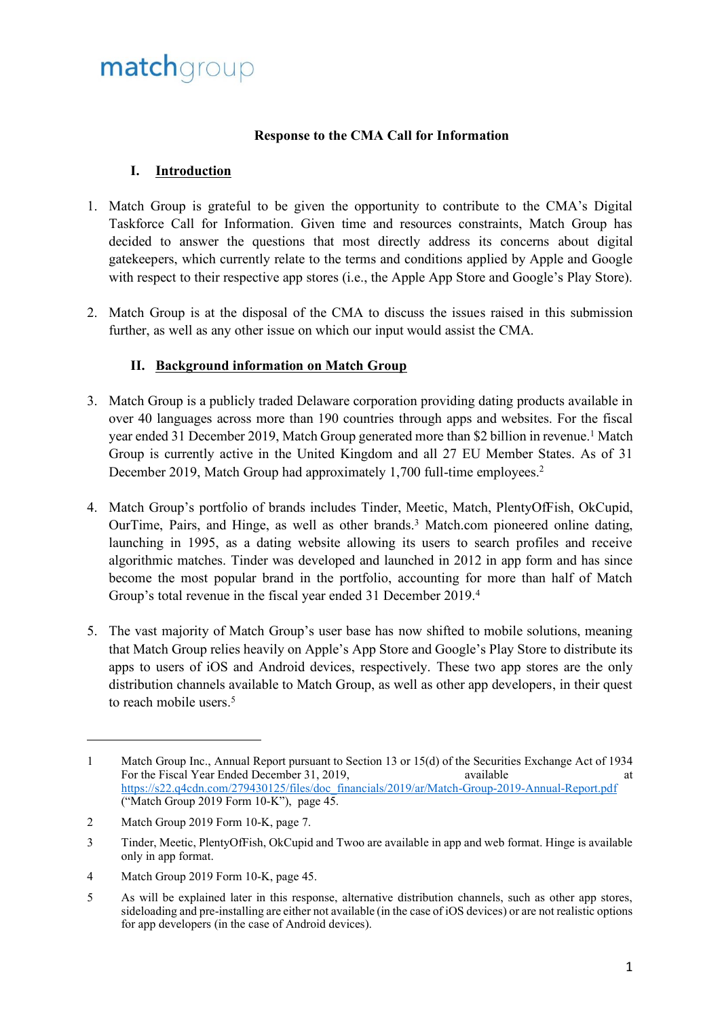### **Response to the CMA Call for Information**

### **I. Introduction**

- 1. Match Group is grateful to be given the opportunity to contribute to the CMA's Digital Taskforce Call for Information. Given time and resources constraints, Match Group has decided to answer the questions that most directly address its concerns about digital gatekeepers, which currently relate to the terms and conditions applied by Apple and Google with respect to their respective app stores (i.e., the Apple App Store and Google's Play Store).
- 2. Match Group is at the disposal of the CMA to discuss the issues raised in this submission further, as well as any other issue on which our input would assist the CMA.

### **II. Background information on Match Group**

- 3. Match Group is a publicly traded Delaware corporation providing dating products available in over 40 languages across more than 190 countries through apps and websites. For the fiscal year ended 31 December 2019, Match Group generated more than \$2 billion in revenue.<sup>1</sup> Match Group is currently active in the United Kingdom and all 27 EU Member States. As of 31 December 2019, Match Group had approximately 1,700 full-time employees.<sup>2</sup>
- 4. Match Group's portfolio of brands includes Tinder, Meetic, Match, PlentyOfFish, OkCupid, OurTime, Pairs, and Hinge, as well as other brands.<sup>3</sup> Match.com pioneered online dating, launching in 1995, as a dating website allowing its users to search profiles and receive algorithmic matches. Tinder was developed and launched in 2012 in app form and has since become the most popular brand in the portfolio, accounting for more than half of Match Group's total revenue in the fiscal year ended 31 December 2019.<sup>4</sup>
- 5. The vast majority of Match Group's user base has now shifted to mobile solutions, meaning that Match Group relies heavily on Apple's App Store and Google's Play Store to distribute its apps to users of iOS and Android devices, respectively. These two app stores are the only distribution channels available to Match Group, as well as other app developers, in their quest to reach mobile users. 5

4 Match Group 2019 Form 10-K, page 45.

<sup>1</sup> Match Group Inc., Annual Report pursuant to Section 13 or 15(d) of the Securities Exchange Act of 1934<br>For the Fiscal Year Ended December 31, 2019, available at For the Fiscal Year Ended December 31, 2019, available at a state of the Fiscal Year Ended December 31, 2019, [https://s22.q4cdn.com/279430125/files/doc\\_financials/2019/ar/Match-Group-2019-Annual-Report.pdf](https://s22.q4cdn.com/279430125/files/doc_financials/2019/ar/Match-Group-2019-Annual-Report.pdf) ("Match Group 2019 Form 10-K"), page 45.

<sup>2</sup> Match Group 2019 Form 10-K, page 7.

<sup>3</sup> Tinder, Meetic, PlentyOfFish, OkCupid and Twoo are available in app and web format. Hinge is available only in app format.

<sup>5</sup> As will be explained later in this response, alternative distribution channels, such as other app stores, sideloading and pre-installing are either not available (in the case of iOS devices) or are not realistic options for app developers (in the case of Android devices).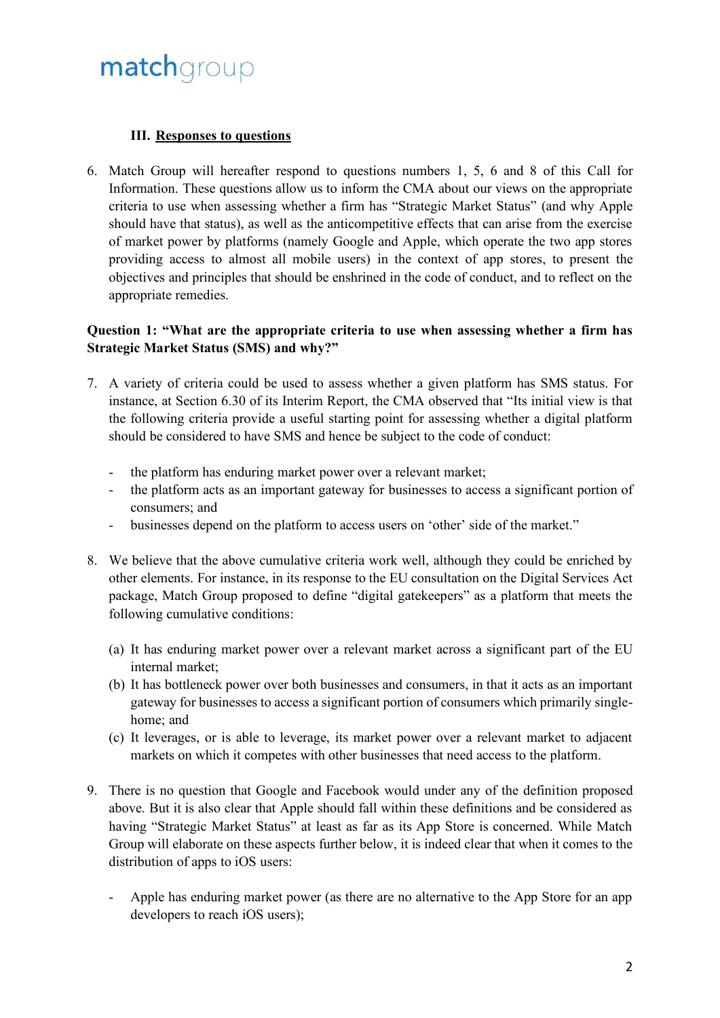### **III. Responses to questions**

6. Match Group will hereafter respond to questions numbers 1, 5, 6 and 8 of this Call for Information. These questions allow us to inform the CMA about our views on the appropriate criteria to use when assessing whether a firm has "Strategic Market Status" (and why Apple should have that status), as well as the anticompetitive effects that can arise from the exercise of market power by platforms (namely Google and Apple, which operate the two app stores providing access to almost all mobile users) in the context of app stores, to present the objectives and principles that should be enshrined in the code of conduct, and to reflect on the appropriate remedies.

### **Question 1: "What are the appropriate criteria to use when assessing whether a firm has Strategic Market Status (SMS) and why?"**

- 7. A variety of criteria could be used to assess whether a given platform has SMS status. For instance, at Section 6.30 of its Interim Report, the CMA observed that "Its initial view is that the following criteria provide a useful starting point for assessing whether a digital platform should be considered to have SMS and hence be subject to the code of conduct:
	- the platform has enduring market power over a relevant market;
	- the platform acts as an important gateway for businesses to access a significant portion of consumers; and
	- businesses depend on the platform to access users on 'other' side of the market."
- 8. We believe that the above cumulative criteria work well, although they could be enriched by other elements. For instance, in its response to the EU consultation on the Digital Services Act package, Match Group proposed to define "digital gatekeepers" as a platform that meets the following cumulative conditions:
	- (a) It has enduring market power over a relevant market across a significant part of the EU internal market;
	- (b) It has bottleneck power over both businesses and consumers, in that it acts as an important gateway for businesses to access a significant portion of consumers which primarily singlehome; and
	- (c) It leverages, or is able to leverage, its market power over a relevant market to adjacent markets on which it competes with other businesses that need access to the platform.
- 9. There is no question that Google and Facebook would under any of the definition proposed above. But it is also clear that Apple should fall within these definitions and be considered as having "Strategic Market Status" at least as far as its App Store is concerned. While Match Group will elaborate on these aspects further below, it is indeed clear that when it comes to the distribution of apps to iOS users:
	- Apple has enduring market power (as there are no alternative to the App Store for an app developers to reach iOS users);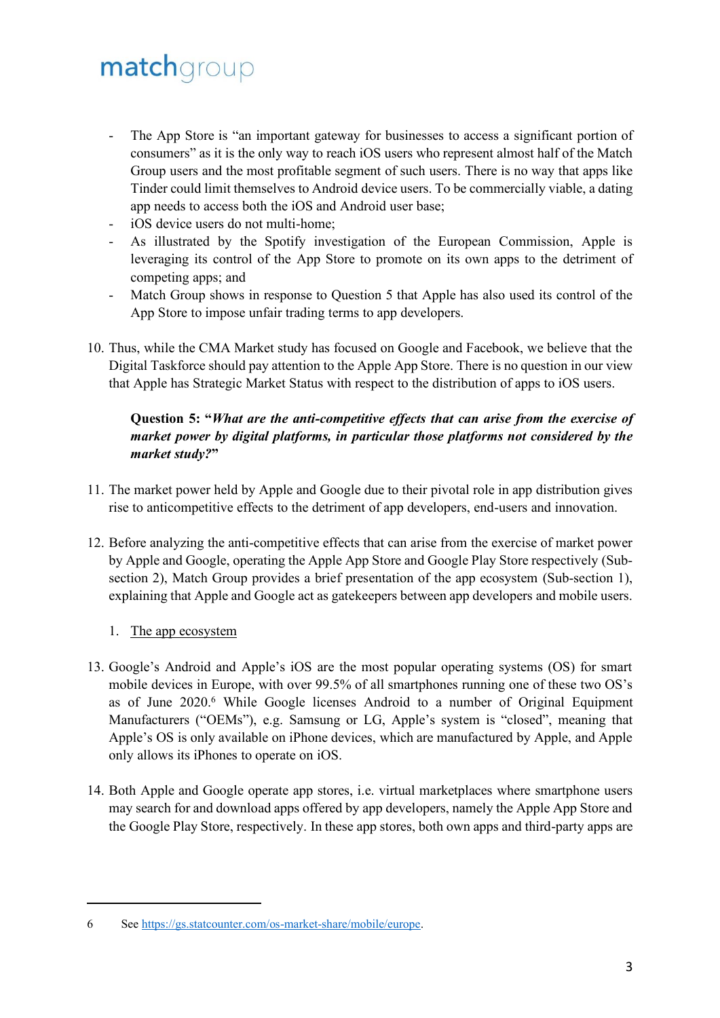- The App Store is "an important gateway for businesses to access a significant portion of consumers" as it is the only way to reach iOS users who represent almost half of the Match Group users and the most profitable segment of such users. There is no way that apps like Tinder could limit themselves to Android device users. To be commercially viable, a dating app needs to access both the iOS and Android user base;
- iOS device users do not multi-home;
- As illustrated by the Spotify investigation of the European Commission, Apple is leveraging its control of the App Store to promote on its own apps to the detriment of competing apps; and
- Match Group shows in response to Question 5 that Apple has also used its control of the App Store to impose unfair trading terms to app developers.
- 10. Thus, while the CMA Market study has focused on Google and Facebook, we believe that the Digital Taskforce should pay attention to the Apple App Store. There is no question in our view that Apple has Strategic Market Status with respect to the distribution of apps to iOS users.

### **Question 5: "***What are the anti-competitive effects that can arise from the exercise of market power by digital platforms, in particular those platforms not considered by the market study?***"**

- 11. The market power held by Apple and Google due to their pivotal role in app distribution gives rise to anticompetitive effects to the detriment of app developers, end-users and innovation.
- 12. Before analyzing the anti-competitive effects that can arise from the exercise of market power by Apple and Google, operating the Apple App Store and Google Play Store respectively (Subsection 2), Match Group provides a brief presentation of the app ecosystem (Sub-section 1), explaining that Apple and Google act as gatekeepers between app developers and mobile users.

#### 1. The app ecosystem

- 13. Google's Android and Apple's iOS are the most popular operating systems (OS) for smart mobile devices in Europe, with over 99.5% of all smartphones running one of these two OS's as of June 2020.<sup>6</sup> While Google licenses Android to a number of Original Equipment Manufacturers ("OEMs"), e.g. Samsung or LG, Apple's system is "closed", meaning that Apple's OS is only available on iPhone devices, which are manufactured by Apple, and Apple only allows its iPhones to operate on iOS.
- 14. Both Apple and Google operate app stores, i.e. virtual marketplaces where smartphone users may search for and download apps offered by app developers, namely the Apple App Store and the Google Play Store, respectively. In these app stores, both own apps and third-party apps are

<sup>6</sup> See [https://gs.statcounter.com/os-market-share/mobile/europe.](https://gs.statcounter.com/os-market-share/mobile/europe)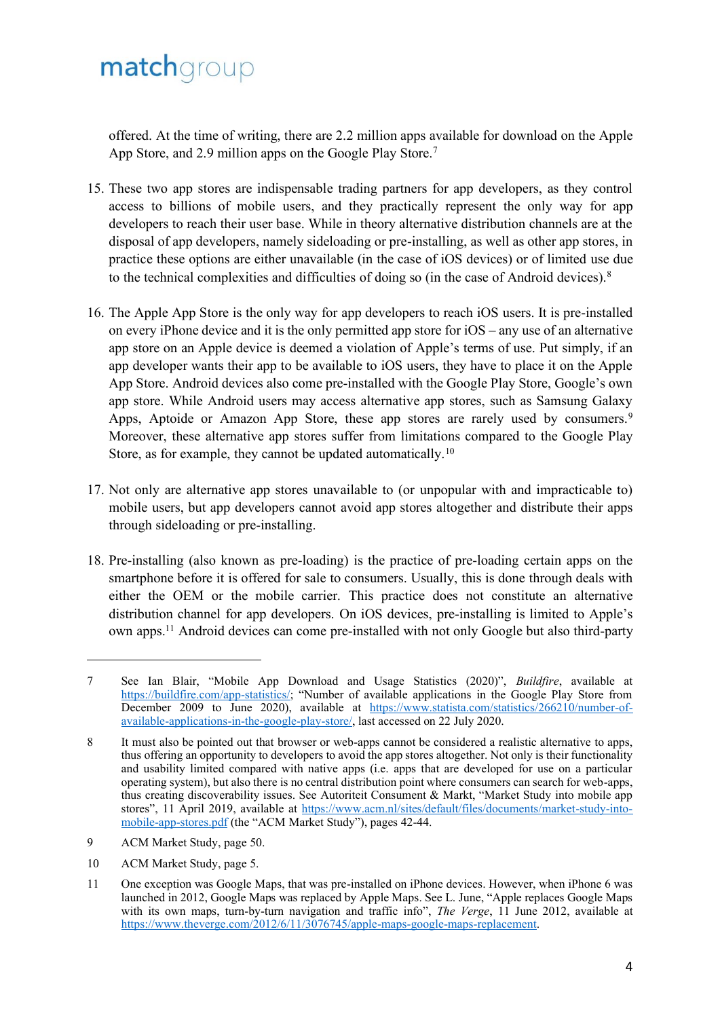offered. At the time of writing, there are 2.2 million apps available for download on the Apple App Store, and 2.9 million apps on the Google Play Store.<sup>7</sup>

- 15. These two app stores are indispensable trading partners for app developers, as they control access to billions of mobile users, and they practically represent the only way for app developers to reach their user base. While in theory alternative distribution channels are at the disposal of app developers, namely sideloading or pre-installing, as well as other app stores, in practice these options are either unavailable (in the case of iOS devices) or of limited use due to the technical complexities and difficulties of doing so (in the case of Android devices).<sup>8</sup>
- 16. The Apple App Store is the only way for app developers to reach iOS users. It is pre-installed on every iPhone device and it is the only permitted app store for iOS – any use of an alternative app store on an Apple device is deemed a violation of Apple's terms of use. Put simply, if an app developer wants their app to be available to iOS users, they have to place it on the Apple App Store. Android devices also come pre-installed with the Google Play Store, Google's own app store. While Android users may access alternative app stores, such as Samsung Galaxy Apps, Aptoide or Amazon App Store, these app stores are rarely used by consumers.<sup>9</sup> Moreover, these alternative app stores suffer from limitations compared to the Google Play Store, as for example, they cannot be updated automatically.<sup>10</sup>
- 17. Not only are alternative app stores unavailable to (or unpopular with and impracticable to) mobile users, but app developers cannot avoid app stores altogether and distribute their apps through sideloading or pre-installing.
- 18. Pre-installing (also known as pre-loading) is the practice of pre-loading certain apps on the smartphone before it is offered for sale to consumers. Usually, this is done through deals with either the OEM or the mobile carrier. This practice does not constitute an alternative distribution channel for app developers. On iOS devices, pre-installing is limited to Apple's own apps.<sup>11</sup> Android devices can come pre-installed with not only Google but also third-party

- 9 ACM Market Study, page 50.
- 10 ACM Market Study, page 5.

<sup>7</sup> See Ian Blair, "Mobile App Download and Usage Statistics (2020)", *Buildfire*, available at [https://buildfire.com/app-statistics/;](https://buildfire.com/app-statistics/) "Number of available applications in the Google Play Store from December 2009 to June 2020), available at [https://www.statista.com/statistics/266210/number-of](https://www.statista.com/statistics/266210/number-of-available-applications-in-the-google-play-store/)[available-applications-in-the-google-play-store/,](https://www.statista.com/statistics/266210/number-of-available-applications-in-the-google-play-store/) last accessed on 22 July 2020.

<sup>8</sup> It must also be pointed out that browser or web-apps cannot be considered a realistic alternative to apps, thus offering an opportunity to developers to avoid the app stores altogether. Not only is their functionality and usability limited compared with native apps (i.e. apps that are developed for use on a particular operating system), but also there is no central distribution point where consumers can search for web-apps, thus creating discoverability issues. See Autoriteit Consument & Markt, "Market Study into mobile app stores", 11 April 2019, available at [https://www.acm.nl/sites/default/files/documents/market-study-into](https://www.acm.nl/sites/default/files/documents/market-study-into-mobile-app-stores.pdf)[mobile-app-stores.pdf](https://www.acm.nl/sites/default/files/documents/market-study-into-mobile-app-stores.pdf) (the "ACM Market Study"), pages 42-44.

<sup>11</sup> One exception was Google Maps, that was pre-installed on iPhone devices. However, when iPhone 6 was launched in 2012, Google Maps was replaced by Apple Maps. See L. June, "Apple replaces Google Maps with its own maps, turn-by-turn navigation and traffic info", *The Verge*, 11 June 2012, available at [https://www.theverge.com/2012/6/11/3076745/apple-maps-google-maps-replacement.](https://www.theverge.com/2012/6/11/3076745/apple-maps-google-maps-replacement)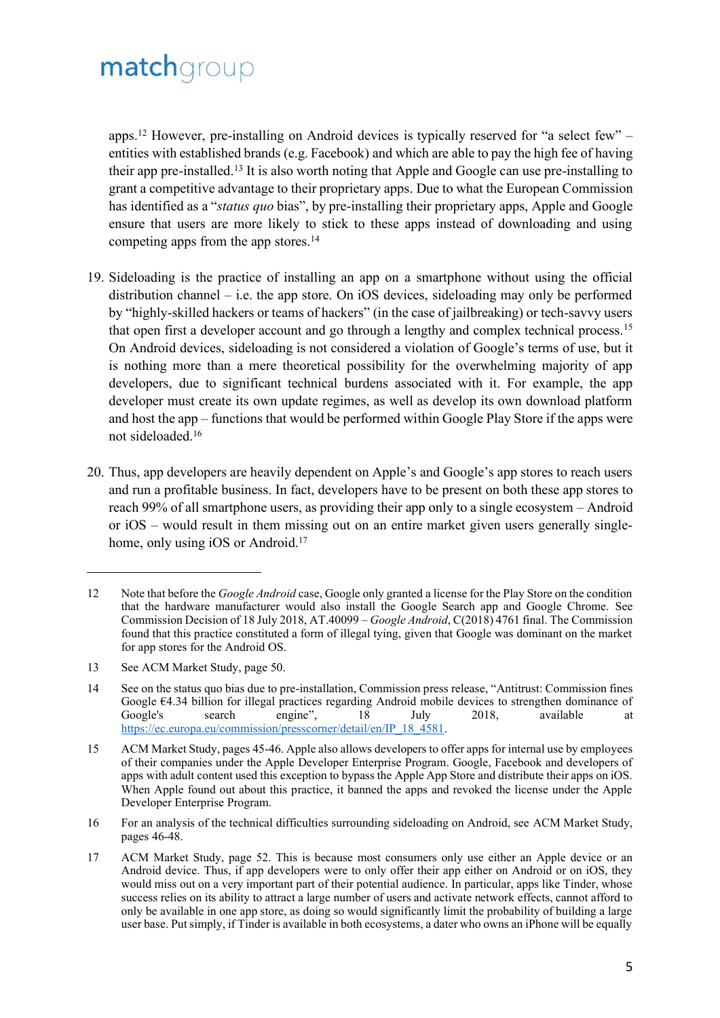apps.<sup>12</sup> However, pre-installing on Android devices is typically reserved for "a select few" – entities with established brands (e.g. Facebook) and which are able to pay the high fee of having their app pre-installed.<sup>13</sup> It is also worth noting that Apple and Google can use pre-installing to grant a competitive advantage to their proprietary apps. Due to what the European Commission has identified as a "*status quo* bias", by pre-installing their proprietary apps, Apple and Google ensure that users are more likely to stick to these apps instead of downloading and using competing apps from the app stores.<sup>14</sup>

- 19. Sideloading is the practice of installing an app on a smartphone without using the official distribution channel – i.e. the app store. On iOS devices, sideloading may only be performed by "highly-skilled hackers or teams of hackers" (in the case of jailbreaking) or tech-savvy users that open first a developer account and go through a lengthy and complex technical process.<sup>15</sup> On Android devices, sideloading is not considered a violation of Google's terms of use, but it is nothing more than a mere theoretical possibility for the overwhelming majority of app developers, due to significant technical burdens associated with it. For example, the app developer must create its own update regimes, as well as develop its own download platform and host the app – functions that would be performed within Google Play Store if the apps were not sideloaded.<sup>16</sup>
- 20. Thus, app developers are heavily dependent on Apple's and Google's app stores to reach users and run a profitable business. In fact, developers have to be present on both these app stores to reach 99% of all smartphone users, as providing their app only to a single ecosystem – Android or iOS – would result in them missing out on an entire market given users generally singlehome, only using iOS or Android.<sup>17</sup>

<sup>12</sup> Note that before the *Google Android* case, Google only granted a license for the Play Store on the condition that the hardware manufacturer would also install the Google Search app and Google Chrome. See Commission Decision of 18 July 2018, AT.40099 – *Google Android*, C(2018) 4761 final. The Commission found that this practice constituted a form of illegal tying, given that Google was dominant on the market for app stores for the Android OS.

<sup>13</sup> See ACM Market Study, page 50.

<sup>14</sup> See on the status quo bias due to pre-installation, Commission press release, "Antitrust: Commission fines Google €4.34 billion for illegal practices regarding Android mobile devices to strengthen dominance of Google's search engine", 18 July 2018, available at [https://ec.europa.eu/commission/presscorner/detail/en/IP\\_18\\_4581.](https://ec.europa.eu/commission/presscorner/detail/en/IP_18_4581)

<sup>15</sup> ACM Market Study, pages 45-46. Apple also allows developers to offer apps for internal use by employees of their companies under the Apple Developer Enterprise Program. Google, Facebook and developers of apps with adult content used this exception to bypass the Apple App Store and distribute their apps on iOS. When Apple found out about this practice, it banned the apps and revoked the license under the Apple Developer Enterprise Program.

<sup>16</sup> For an analysis of the technical difficulties surrounding sideloading on Android, see ACM Market Study, pages 46-48.

<sup>17</sup> ACM Market Study, page 52. This is because most consumers only use either an Apple device or an Android device. Thus, if app developers were to only offer their app either on Android or on iOS, they would miss out on a very important part of their potential audience. In particular, apps like Tinder, whose success relies on its ability to attract a large number of users and activate network effects, cannot afford to only be available in one app store, as doing so would significantly limit the probability of building a large user base. Put simply, if Tinder is available in both ecosystems, a dater who owns an iPhone will be equally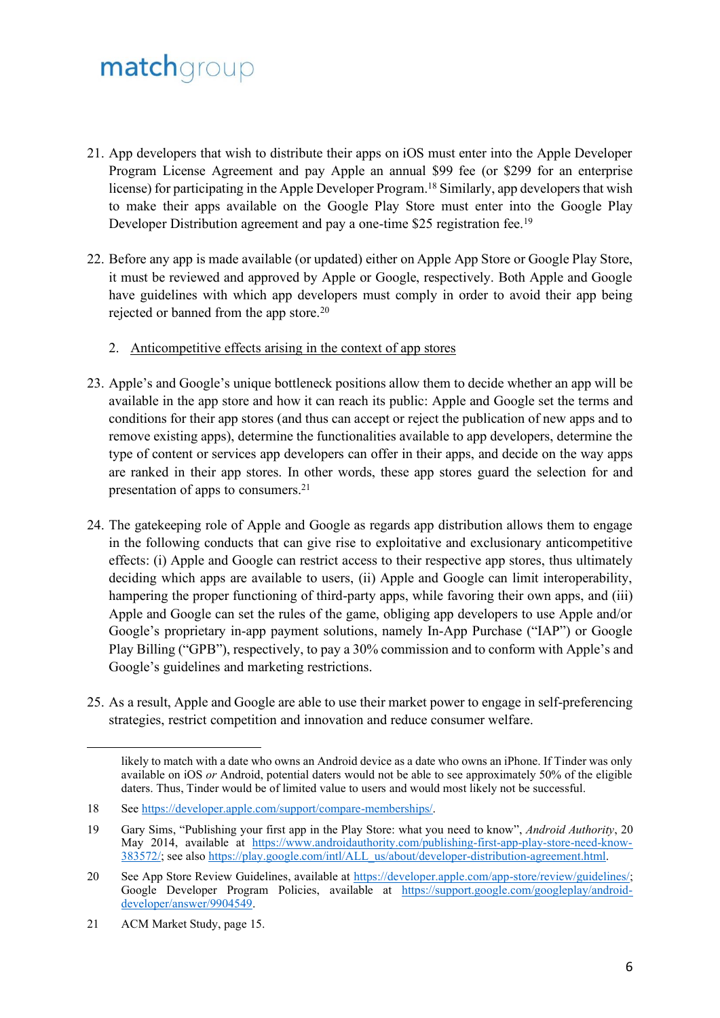- 21. App developers that wish to distribute their apps on iOS must enter into the Apple Developer Program License Agreement and pay Apple an annual \$99 fee (or \$299 for an enterprise license) for participating in the Apple Developer Program.<sup>18</sup> Similarly, app developers that wish to make their apps available on the Google Play Store must enter into the Google Play Developer Distribution agreement and pay a one-time \$25 registration fee.<sup>19</sup>
- 22. Before any app is made available (or updated) either on Apple App Store or Google Play Store, it must be reviewed and approved by Apple or Google, respectively. Both Apple and Google have guidelines with which app developers must comply in order to avoid their app being rejected or banned from the app store.<sup>20</sup>
	- 2. Anticompetitive effects arising in the context of app stores
- 23. Apple's and Google's unique bottleneck positions allow them to decide whether an app will be available in the app store and how it can reach its public: Apple and Google set the terms and conditions for their app stores (and thus can accept or reject the publication of new apps and to remove existing apps), determine the functionalities available to app developers, determine the type of content or services app developers can offer in their apps, and decide on the way apps are ranked in their app stores. In other words, these app stores guard the selection for and presentation of apps to consumers.<sup>21</sup>
- 24. The gatekeeping role of Apple and Google as regards app distribution allows them to engage in the following conducts that can give rise to exploitative and exclusionary anticompetitive effects: (i) Apple and Google can restrict access to their respective app stores, thus ultimately deciding which apps are available to users, (ii) Apple and Google can limit interoperability, hampering the proper functioning of third-party apps, while favoring their own apps, and (iii) Apple and Google can set the rules of the game, obliging app developers to use Apple and/or Google's proprietary in-app payment solutions, namely In-App Purchase ("IAP") or Google Play Billing ("GPB"), respectively, to pay a 30% commission and to conform with Apple's and Google's guidelines and marketing restrictions.
- 25. As a result, Apple and Google are able to use their market power to engage in self-preferencing strategies, restrict competition and innovation and reduce consumer welfare.

likely to match with a date who owns an Android device as a date who owns an iPhone. If Tinder was only available on iOS *or* Android, potential daters would not be able to see approximately 50% of the eligible daters. Thus, Tinder would be of limited value to users and would most likely not be successful.

<sup>18</sup> See [https://developer.apple.com/support/compare-memberships/.](https://developer.apple.com/support/compare-memberships/)

<sup>19</sup> Gary Sims, "Publishing your first app in the Play Store: what you need to know", *Android Authority*, 20 May 2014, available at [https://www.androidauthority.com/publishing-first-app-play-store-need-know-](https://www.androidauthority.com/publishing-first-app-play-store-need-know-383572/)[383572/;](https://www.androidauthority.com/publishing-first-app-play-store-need-know-383572/) see also https://play.google.com/intl/ALL\_us/about/developer-distribution-agreement.html.

<sup>20</sup> See App Store Review Guidelines, available at [https://developer.apple.com/app-store/review/guidelines/;](https://developer.apple.com/app-store/review/guidelines/) Google Developer Program Policies, available at [https://support.google.com/googleplay/android](https://support.google.com/googleplay/android-developer/answer/9904549)[developer/answer/9904549.](https://support.google.com/googleplay/android-developer/answer/9904549)

<sup>21</sup> ACM Market Study, page 15.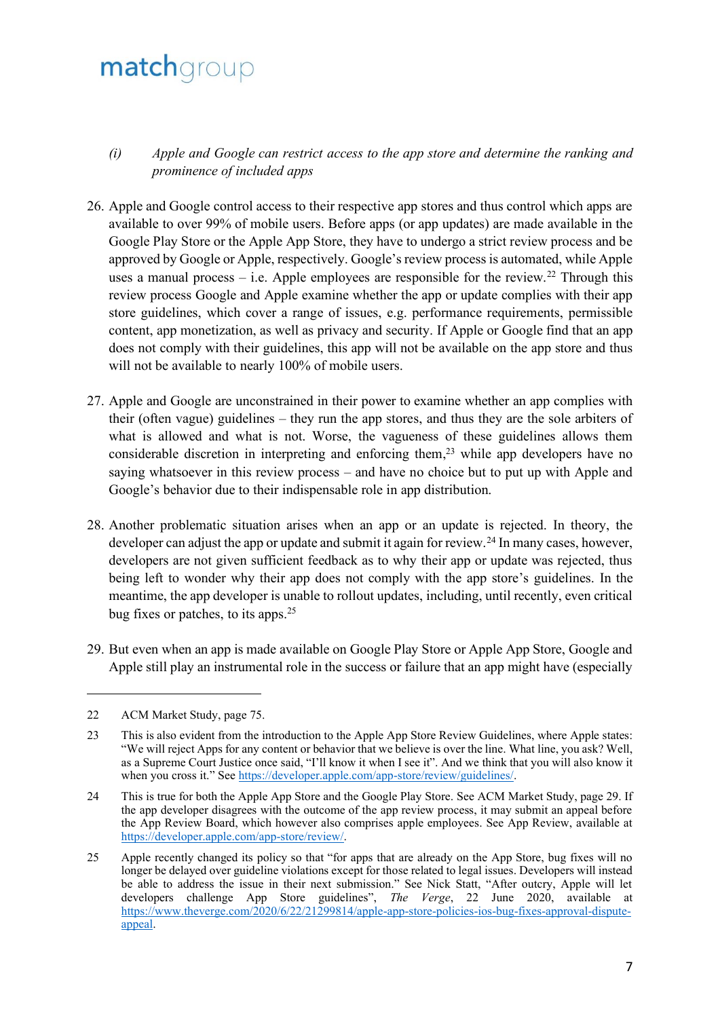- *(i) Apple and Google can restrict access to the app store and determine the ranking and prominence of included apps*
- 26. Apple and Google control access to their respective app stores and thus control which apps are available to over 99% of mobile users. Before apps (or app updates) are made available in the Google Play Store or the Apple App Store, they have to undergo a strict review process and be approved by Google or Apple, respectively. Google's review process is automated, while Apple uses a manual process – i.e. Apple employees are responsible for the review.<sup>22</sup> Through this review process Google and Apple examine whether the app or update complies with their app store guidelines, which cover a range of issues, e.g. performance requirements, permissible content, app monetization, as well as privacy and security. If Apple or Google find that an app does not comply with their guidelines, this app will not be available on the app store and thus will not be available to nearly 100% of mobile users.
- 27. Apple and Google are unconstrained in their power to examine whether an app complies with their (often vague) guidelines – they run the app stores, and thus they are the sole arbiters of what is allowed and what is not. Worse, the vagueness of these guidelines allows them considerable discretion in interpreting and enforcing them, <sup>23</sup> while app developers have no saying whatsoever in this review process – and have no choice but to put up with Apple and Google's behavior due to their indispensable role in app distribution.
- 28. Another problematic situation arises when an app or an update is rejected. In theory, the developer can adjust the app or update and submit it again for review.<sup>24</sup> In many cases, however, developers are not given sufficient feedback as to why their app or update was rejected, thus being left to wonder why their app does not comply with the app store's guidelines. In the meantime, the app developer is unable to rollout updates, including, until recently, even critical bug fixes or patches, to its apps.<sup>25</sup>
- 29. But even when an app is made available on Google Play Store or Apple App Store, Google and Apple still play an instrumental role in the success or failure that an app might have (especially

<sup>22</sup> ACM Market Study, page 75.

<sup>23</sup> This is also evident from the introduction to the Apple App Store Review Guidelines, where Apple states: "We will reject Apps for any content or behavior that we believe is over the line. What line, you ask? Well, as a Supreme Court Justice once said, "I'll know it when I see it". And we think that you will also know it when you cross it." See [https://developer.apple.com/app-store/review/guidelines/.](https://developer.apple.com/app-store/review/guidelines/)

<sup>24</sup> This is true for both the Apple App Store and the Google Play Store. See ACM Market Study, page 29. If the app developer disagrees with the outcome of the app review process, it may submit an appeal before the App Review Board, which however also comprises apple employees. See App Review, available at [https://developer.apple.com/app-store/review/.](https://developer.apple.com/app-store/review/)

<sup>25</sup> Apple recently changed its policy so that "for apps that are already on the App Store, bug fixes will no longer be delayed over guideline violations except for those related to legal issues. Developers will instead be able to address the issue in their next submission." See Nick Statt, "After outcry, Apple will let developers challenge App Store guidelines", *The Verge*, 22 June 2020, available at [https://www.theverge.com/2020/6/22/21299814/apple-app-store-policies-ios-bug-fixes-approval-dispute](https://www.theverge.com/2020/6/22/21299814/apple-app-store-policies-ios-bug-fixes-approval-dispute-appeal)[appeal.](https://www.theverge.com/2020/6/22/21299814/apple-app-store-policies-ios-bug-fixes-approval-dispute-appeal)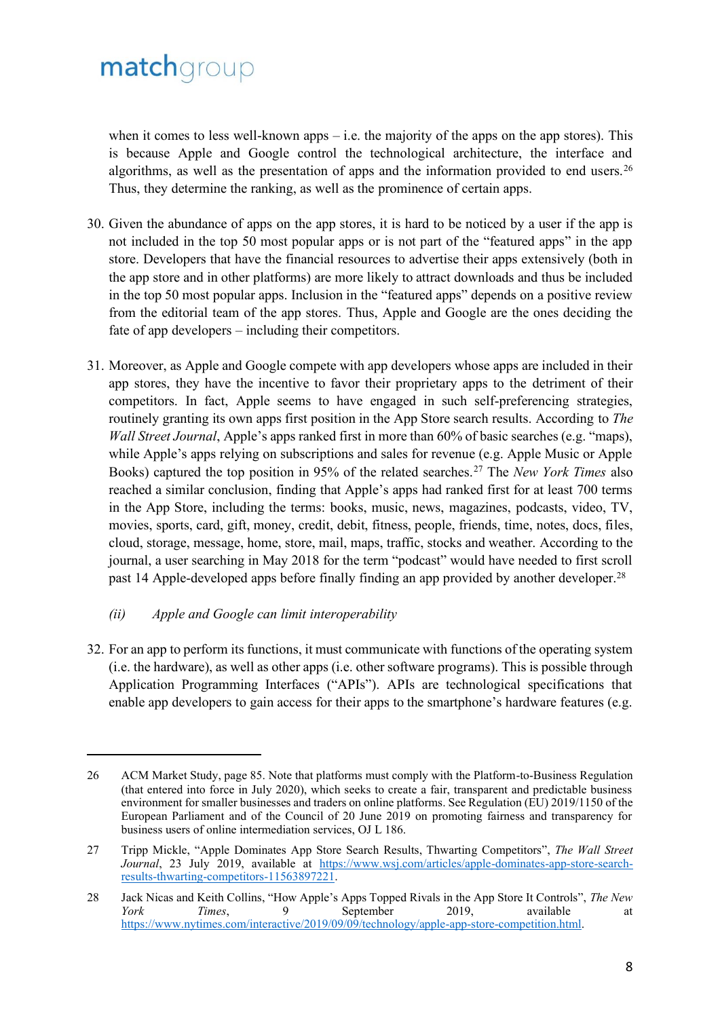when it comes to less well-known apps – i.e. the majority of the apps on the app stores). This is because Apple and Google control the technological architecture, the interface and algorithms, as well as the presentation of apps and the information provided to end users.<sup>26</sup> Thus, they determine the ranking, as well as the prominence of certain apps.

- 30. Given the abundance of apps on the app stores, it is hard to be noticed by a user if the app is not included in the top 50 most popular apps or is not part of the "featured apps" in the app store. Developers that have the financial resources to advertise their apps extensively (both in the app store and in other platforms) are more likely to attract downloads and thus be included in the top 50 most popular apps. Inclusion in the "featured apps" depends on a positive review from the editorial team of the app stores. Thus, Apple and Google are the ones deciding the fate of app developers – including their competitors.
- 31. Moreover, as Apple and Google compete with app developers whose apps are included in their app stores, they have the incentive to favor their proprietary apps to the detriment of their competitors. In fact, Apple seems to have engaged in such self-preferencing strategies, routinely granting its own apps first position in the App Store search results. According to *The Wall Street Journal*, Apple's apps ranked first in more than 60% of basic searches (e.g. "maps), while Apple's apps relying on subscriptions and sales for revenue (e.g. Apple Music or Apple Books) captured the top position in 95% of the related searches.<sup>27</sup> The *New York Times* also reached a similar conclusion, finding that Apple's apps had ranked first for at least 700 terms in the App Store, including the terms: books, music, news, magazines, podcasts, video, TV, movies, sports, card, gift, money, credit, debit, fitness, people, friends, time, notes, docs, files, cloud, storage, message, home, store, mail, maps, traffic, stocks and weather. According to the journal, a user searching in May 2018 for the term "podcast" would have needed to first scroll past 14 Apple-developed apps before finally finding an app provided by another developer.<sup>28</sup>

### *(ii) Apple and Google can limit interoperability*

32. For an app to perform its functions, it must communicate with functions of the operating system (i.e. the hardware), as well as other apps (i.e. other software programs). This is possible through Application Programming Interfaces ("APIs"). APIs are technological specifications that enable app developers to gain access for their apps to the smartphone's hardware features (e.g.

<sup>26</sup> ACM Market Study, page 85. Note that platforms must comply with the Platform-to-Business Regulation (that entered into force in July 2020), which seeks to create a fair, transparent and predictable business environment for smaller businesses and traders on online platforms. See Regulation (EU) 2019/1150 of the European Parliament and of the Council of 20 June 2019 on promoting fairness and transparency for business users of online intermediation services, OJ L 186.

<sup>27</sup> Tripp Mickle, "Apple Dominates App Store Search Results, Thwarting Competitors", *The Wall Street Journal*, 23 July 2019, available at [https://www.wsj.com/articles/apple-dominates-app-store-search](https://www.wsj.com/articles/apple-dominates-app-store-search-results-thwarting-competitors-11563897221)[results-thwarting-competitors-11563897221.](https://www.wsj.com/articles/apple-dominates-app-store-search-results-thwarting-competitors-11563897221)

<sup>28</sup> Jack Nicas and Keith Collins, "How Apple's Apps Topped Rivals in the App Store It Controls", *The New York Times*, 9 September 2019, available at [https://www.nytimes.com/interactive/2019/09/09/technology/apple-app-store-competition.html.](https://www.nytimes.com/interactive/2019/09/09/technology/apple-app-store-competition.html)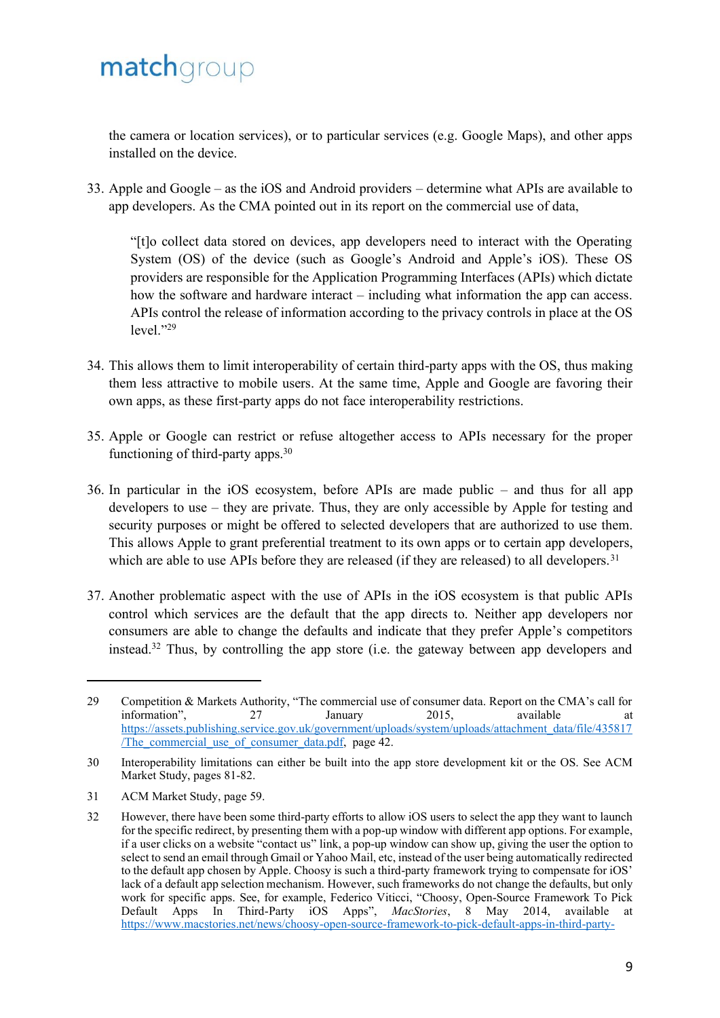the camera or location services), or to particular services (e.g. Google Maps), and other apps installed on the device.

33. Apple and Google – as the iOS and Android providers – determine what APIs are available to app developers. As the CMA pointed out in its report on the commercial use of data,

"[t]o collect data stored on devices, app developers need to interact with the Operating System (OS) of the device (such as Google's Android and Apple's iOS). These OS providers are responsible for the Application Programming Interfaces (APIs) which dictate how the software and hardware interact – including what information the app can access. APIs control the release of information according to the privacy controls in place at the OS  $level. "29$ 

- 34. This allows them to limit interoperability of certain third-party apps with the OS, thus making them less attractive to mobile users. At the same time, Apple and Google are favoring their own apps, as these first-party apps do not face interoperability restrictions.
- 35. Apple or Google can restrict or refuse altogether access to APIs necessary for the proper functioning of third-party apps.<sup>30</sup>
- 36. In particular in the iOS ecosystem, before APIs are made public and thus for all app developers to use – they are private. Thus, they are only accessible by Apple for testing and security purposes or might be offered to selected developers that are authorized to use them. This allows Apple to grant preferential treatment to its own apps or to certain app developers, which are able to use APIs before they are released (if they are released) to all developers.<sup>31</sup>
- 37. Another problematic aspect with the use of APIs in the iOS ecosystem is that public APIs control which services are the default that the app directs to. Neither app developers nor consumers are able to change the defaults and indicate that they prefer Apple's competitors instead.<sup>32</sup> Thus, by controlling the app store (i.e. the gateway between app developers and

31 ACM Market Study, page 59.

<sup>29</sup> Competition & Markets Authority, "The commercial use of consumer data. Report on the CMA's call for information", 27 January 2015, available at [https://assets.publishing.service.gov.uk/government/uploads/system/uploads/attachment\\_data/file/435817](https://assets.publishing.service.gov.uk/government/uploads/system/uploads/attachment_data/file/435817/The_commercial_use_of_consumer_data.pdf) The commercial use of consumer data.pdf, page 42.

<sup>30</sup> Interoperability limitations can either be built into the app store development kit or the OS. See ACM Market Study, pages 81-82.

<sup>32</sup> However, there have been some third-party efforts to allow iOS users to select the app they want to launch for the specific redirect, by presenting them with a pop-up window with different app options. For example, if a user clicks on a website "contact us" link, a pop-up window can show up, giving the user the option to select to send an email through Gmail or Yahoo Mail, etc, instead of the user being automatically redirected to the default app chosen by Apple. Choosy is such a third-party framework trying to compensate for iOS' lack of a default app selection mechanism. However, such frameworks do not change the defaults, but only work for specific apps. See, for example, Federico Viticci, "Choosy, Open-Source Framework To Pick Default Apps In Third-Party iOS Apps", *MacStories*, 8 May 2014, available at [https://www.macstories.net/news/choosy-open-source-framework-to-pick-default-apps-in-third-party-](https://www.macstories.net/news/choosy-open-source-framework-to-pick-default-apps-in-third-party-ios-apps/)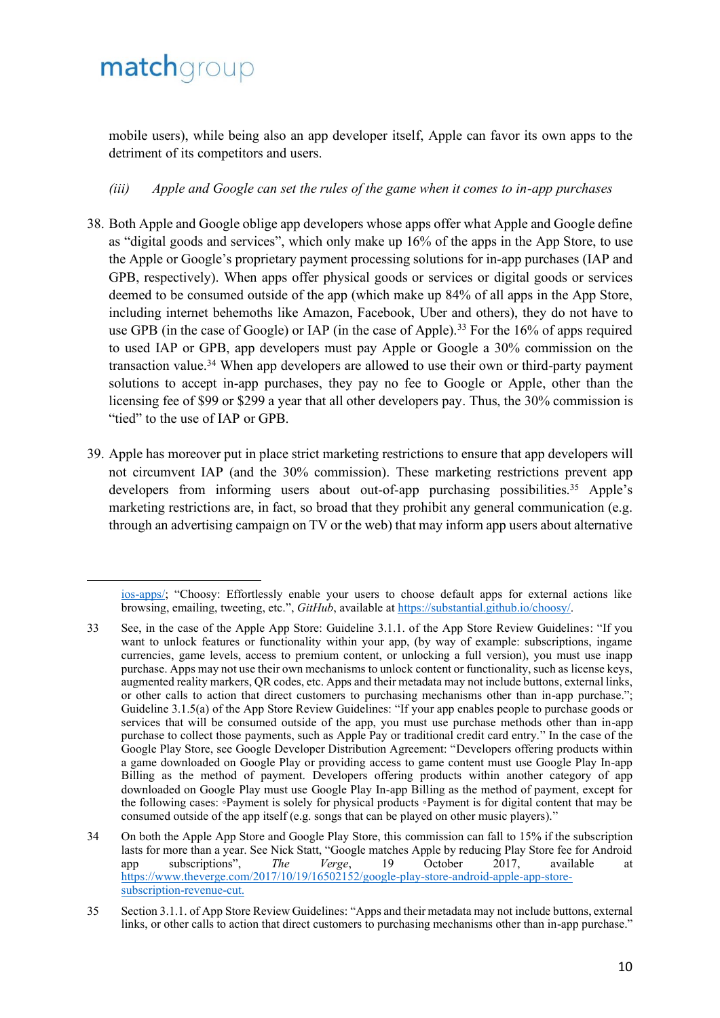mobile users), while being also an app developer itself, Apple can favor its own apps to the detriment of its competitors and users.

### *(iii) Apple and Google can set the rules of the game when it comes to in-app purchases*

- 38. Both Apple and Google oblige app developers whose apps offer what Apple and Google define as "digital goods and services", which only make up 16% of the apps in the App Store, to use the Apple or Google's proprietary payment processing solutions for in-app purchases (IAP and GPB, respectively). When apps offer physical goods or services or digital goods or services deemed to be consumed outside of the app (which make up 84% of all apps in the App Store, including internet behemoths like Amazon, Facebook, Uber and others), they do not have to use GPB (in the case of Google) or IAP (in the case of Apple).<sup>33</sup> For the 16% of apps required to used IAP or GPB, app developers must pay Apple or Google a 30% commission on the transaction value.<sup>34</sup> When app developers are allowed to use their own or third-party payment solutions to accept in-app purchases, they pay no fee to Google or Apple, other than the licensing fee of \$99 or \$299 a year that all other developers pay. Thus, the 30% commission is "tied" to the use of IAP or GPB.
- 39. Apple has moreover put in place strict marketing restrictions to ensure that app developers will not circumvent IAP (and the 30% commission). These marketing restrictions prevent app developers from informing users about out-of-app purchasing possibilities.<sup>35</sup> Apple's marketing restrictions are, in fact, so broad that they prohibit any general communication (e.g. through an advertising campaign on TV or the web) that may inform app users about alternative

[ios-apps/;](https://www.macstories.net/news/choosy-open-source-framework-to-pick-default-apps-in-third-party-ios-apps/) "Choosy: Effortlessly enable your users to choose default apps for external actions like browsing, emailing, tweeting, etc.", *GitHub*, available at [https://substantial.github.io/choosy/.](https://substantial.github.io/choosy/)

<sup>33</sup> See, in the case of the Apple App Store: Guideline 3.1.1. of the App Store Review Guidelines: "If you want to unlock features or functionality within your app, (by way of example: subscriptions, ingame currencies, game levels, access to premium content, or unlocking a full version), you must use inapp purchase. Apps may not use their own mechanisms to unlock content or functionality, such as license keys, augmented reality markers, QR codes, etc. Apps and their metadata may not include buttons, external links, or other calls to action that direct customers to purchasing mechanisms other than in-app purchase."; Guideline 3.1.5(a) of the App Store Review Guidelines: "If your app enables people to purchase goods or services that will be consumed outside of the app, you must use purchase methods other than in-app purchase to collect those payments, such as Apple Pay or traditional credit card entry." In the case of the Google Play Store, see Google Developer Distribution Agreement: "Developers offering products within a game downloaded on Google Play or providing access to game content must use Google Play In-app Billing as the method of payment. Developers offering products within another category of app downloaded on Google Play must use Google Play In-app Billing as the method of payment, except for the following cases: ◦Payment is solely for physical products ◦Payment is for digital content that may be consumed outside of the app itself (e.g. songs that can be played on other music players)."

<sup>34</sup> On both the Apple App Store and Google Play Store, this commission can fall to 15% if the subscription lasts for more than a year. See Nick Statt, "Google matches Apple by reducing Play Store fee for Android app subscriptions", *The Verge*, 19 October 2017, available at [https://www.theverge.com/2017/10/19/16502152/google-play-store-android-apple-app-store](https://www.theverge.com/2017/10/19/16502152/google-play-store-android-apple-app-store-subscription-revenue-cut)[subscription-revenue-cut.](https://www.theverge.com/2017/10/19/16502152/google-play-store-android-apple-app-store-subscription-revenue-cut)

<sup>35</sup> Section 3.1.1. of App Store Review Guidelines: "Apps and their metadata may not include buttons, external links, or other calls to action that direct customers to purchasing mechanisms other than in-app purchase."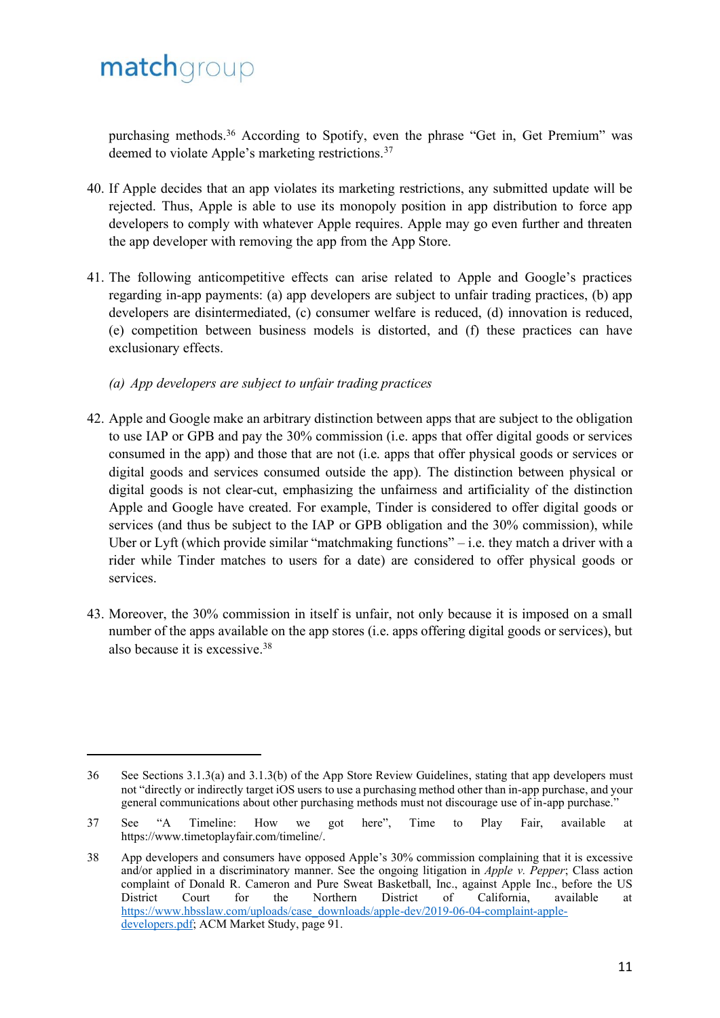purchasing methods. <sup>36</sup> According to Spotify, even the phrase "Get in, Get Premium" was deemed to violate Apple's marketing restrictions.<sup>37</sup>

- 40. If Apple decides that an app violates its marketing restrictions, any submitted update will be rejected. Thus, Apple is able to use its monopoly position in app distribution to force app developers to comply with whatever Apple requires. Apple may go even further and threaten the app developer with removing the app from the App Store.
- 41. The following anticompetitive effects can arise related to Apple and Google's practices regarding in-app payments: (a) app developers are subject to unfair trading practices, (b) app developers are disintermediated, (c) consumer welfare is reduced, (d) innovation is reduced, (e) competition between business models is distorted, and (f) these practices can have exclusionary effects.

#### *(a) App developers are subject to unfair trading practices*

- 42. Apple and Google make an arbitrary distinction between apps that are subject to the obligation to use IAP or GPB and pay the 30% commission (i.e. apps that offer digital goods or services consumed in the app) and those that are not (i.e. apps that offer physical goods or services or digital goods and services consumed outside the app). The distinction between physical or digital goods is not clear-cut, emphasizing the unfairness and artificiality of the distinction Apple and Google have created. For example, Tinder is considered to offer digital goods or services (and thus be subject to the IAP or GPB obligation and the 30% commission), while Uber or Lyft (which provide similar "matchmaking functions" – i.e. they match a driver with a rider while Tinder matches to users for a date) are considered to offer physical goods or services.
- 43. Moreover, the 30% commission in itself is unfair, not only because it is imposed on a small number of the apps available on the app stores (i.e. apps offering digital goods or services), but also because it is excessive. 38

<sup>36</sup> See Sections 3.1.3(a) and 3.1.3(b) of the App Store Review Guidelines, stating that app developers must not "directly or indirectly target iOS users to use a purchasing method other than in-app purchase, and your general communications about other purchasing methods must not discourage use of in-app purchase."

<sup>37</sup> See "A Timeline: How we got here", Time to Play Fair, available at [https://www.timetoplayfair.com/timeline/.](https://www.timetoplayfair.com/timeline/)

<sup>38</sup> App developers and consumers have opposed Apple's 30% commission complaining that it is excessive and/or applied in a discriminatory manner. See the ongoing litigation in *Apple v. Pepper*; Class action complaint of Donald R. Cameron and Pure Sweat Basketball, Inc., against Apple Inc., before the US District Court for the Northern District of California, available at [https://www.hbsslaw.com/uploads/case\\_downloads/apple-dev/2019-06-04-complaint-apple](https://www.hbsslaw.com/uploads/case_downloads/apple-dev/2019-06-04-complaint-apple-developers.pdf)[developers.pdf;](https://www.hbsslaw.com/uploads/case_downloads/apple-dev/2019-06-04-complaint-apple-developers.pdf) ACM Market Study, page 91.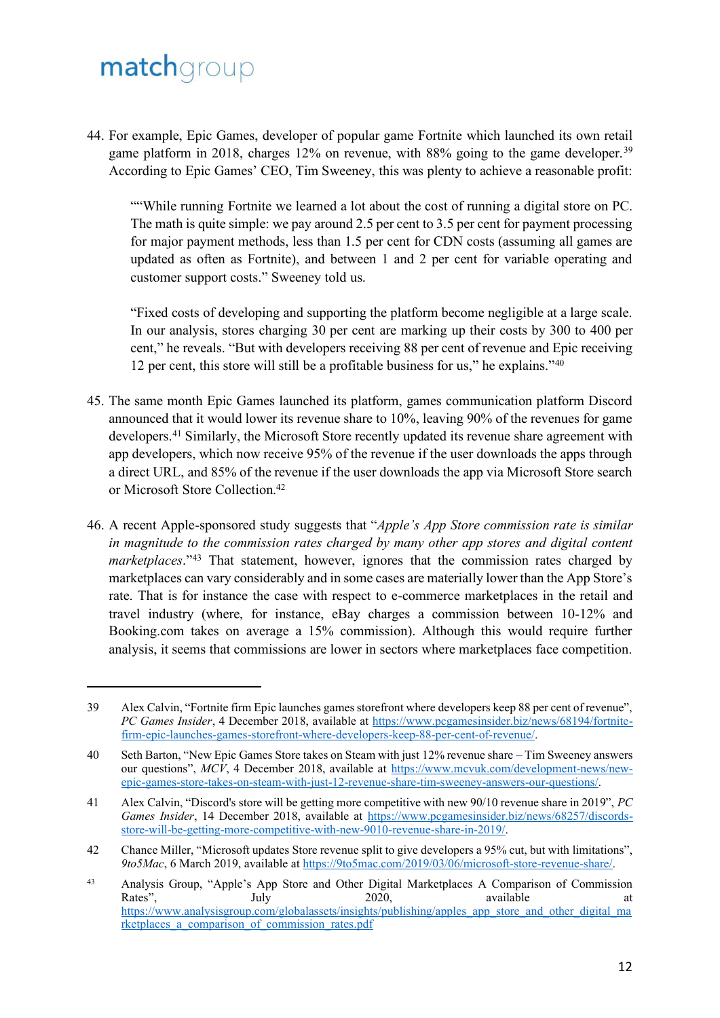44. For example, Epic Games, developer of popular game Fortnite which launched its own retail game platform in 2018, charges 12% on revenue, with 88% going to the game developer.<sup>39</sup> According to Epic Games' CEO, Tim Sweeney, this was plenty to achieve a reasonable profit:

""While running Fortnite we learned a lot about the cost of running a digital store on PC. The math is quite simple: we pay around 2.5 per cent to 3.5 per cent for payment processing for major payment methods, less than 1.5 per cent for CDN costs (assuming all games are updated as often as Fortnite), and between 1 and 2 per cent for variable operating and customer support costs." Sweeney told us.

"Fixed costs of developing and supporting the platform become negligible at a large scale. In our analysis, stores charging 30 per cent are marking up their costs by 300 to 400 per cent," he reveals. "But with developers receiving 88 per cent of revenue and Epic receiving 12 per cent, this store will still be a profitable business for us," he explains."<sup>40</sup>

- 45. The same month Epic Games launched its platform, games communication platform Discord announced that it would lower its revenue share to 10%, leaving 90% of the revenues for game developers.<sup>41</sup> Similarly, the Microsoft Store recently updated its revenue share agreement with app developers, which now receive 95% of the revenue if the user downloads the apps through a direct URL, and 85% of the revenue if the user downloads the app via Microsoft Store search or Microsoft Store Collection.<sup>42</sup>
- 46. A recent Apple-sponsored study suggests that "*Apple's App Store commission rate is similar in magnitude to the commission rates charged by many other app stores and digital content marketplaces*."<sup>43</sup> That statement, however, ignores that the commission rates charged by marketplaces can vary considerably and in some cases are materially lower than the App Store's rate. That is for instance the case with respect to e-commerce marketplaces in the retail and travel industry (where, for instance, eBay charges a commission between 10-12% and Booking.com takes on average a 15% commission). Although this would require further analysis, it seems that commissions are lower in sectors where marketplaces face competition.

<sup>39</sup> Alex Calvin, "Fortnite firm Epic launches games storefront where developers keep 88 per cent of revenue", *PC Games Insider*, 4 December 2018, available at [https://www.pcgamesinsider.biz/news/68194/fortnite](https://www.pcgamesinsider.biz/news/68194/fortnite-firm-epic-launches-games-storefront-where-developers-keep-88-per-cent-of-revenue/)[firm-epic-launches-games-storefront-where-developers-keep-88-per-cent-of-revenue/.](https://www.pcgamesinsider.biz/news/68194/fortnite-firm-epic-launches-games-storefront-where-developers-keep-88-per-cent-of-revenue/) 

<sup>40</sup> Seth Barton, "New Epic Games Store takes on Steam with just 12% revenue share – Tim Sweeney answers our questions", *MCV*, 4 December 2018, available at [https://www.mcvuk.com/development-news/new](https://www.mcvuk.com/development-news/new-epic-games-store-takes-on-steam-with-just-12-revenue-share-tim-sweeney-answers-our-questions/)[epic-games-store-takes-on-steam-with-just-12-revenue-share-tim-sweeney-answers-our-questions/.](https://www.mcvuk.com/development-news/new-epic-games-store-takes-on-steam-with-just-12-revenue-share-tim-sweeney-answers-our-questions/)

<sup>41</sup> Alex Calvin, "Discord's store will be getting more competitive with new 90/10 revenue share in 2019", *PC*  Games Insider, 14 December 2018, available at [https://www.pcgamesinsider.biz/news/68257/discords](https://www.pcgamesinsider.biz/news/68257/discords-store-will-be-getting-more-competitive-with-new-9010-revenue-share-in-2019/)[store-will-be-getting-more-competitive-with-new-9010-revenue-share-in-2019/.](https://www.pcgamesinsider.biz/news/68257/discords-store-will-be-getting-more-competitive-with-new-9010-revenue-share-in-2019/)

<sup>42</sup> Chance Miller, "Microsoft updates Store revenue split to give developers a 95% cut, but with limitations", *9to5Mac*, 6 March 2019, available a[t https://9to5mac.com/2019/03/06/microsoft-store-revenue-share/.](https://9to5mac.com/2019/03/06/microsoft-store-revenue-share/)

<sup>43</sup> Analysis Group, "Apple's App Store and Other Digital Marketplaces A Comparison of Commission Rates", July 2020, available at a [https://www.analysisgroup.com/globalassets/insights/publishing/apples\\_app\\_store\\_and\\_other\\_digital\\_ma](https://www.analysisgroup.com/globalassets/insights/publishing/apples_app_store_and_other_digital_marketplaces_a_comparison_of_commission_rates.pdf) rketplaces a comparison of commission rates.pdf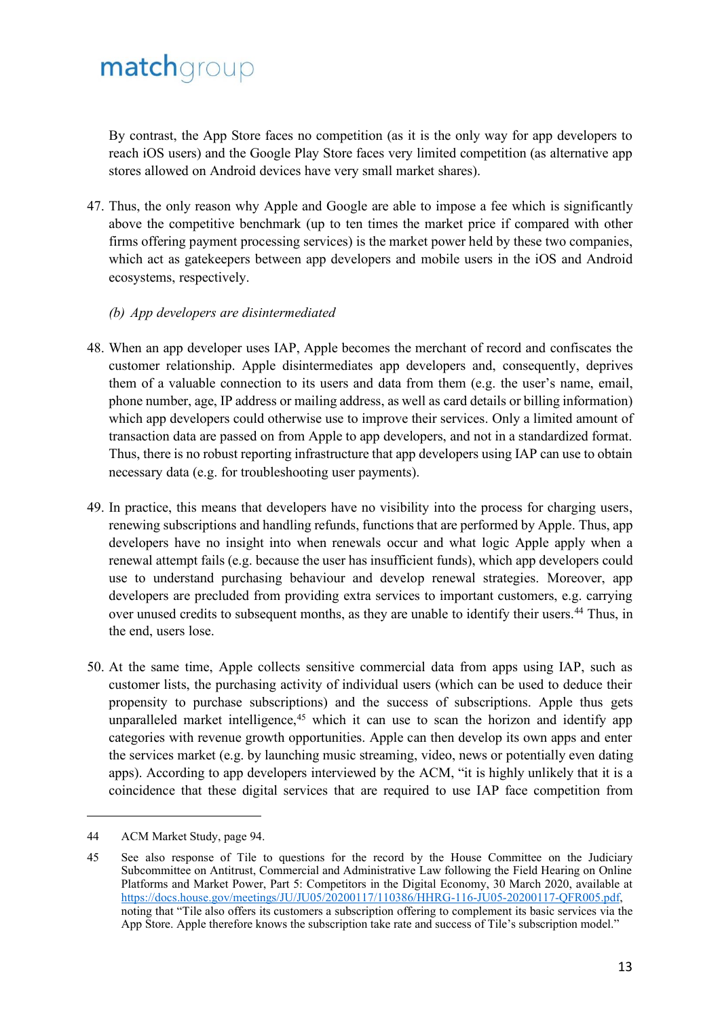By contrast, the App Store faces no competition (as it is the only way for app developers to reach iOS users) and the Google Play Store faces very limited competition (as alternative app stores allowed on Android devices have very small market shares).

47. Thus, the only reason why Apple and Google are able to impose a fee which is significantly above the competitive benchmark (up to ten times the market price if compared with other firms offering payment processing services) is the market power held by these two companies, which act as gatekeepers between app developers and mobile users in the iOS and Android ecosystems, respectively.

#### *(b) App developers are disintermediated*

- 48. When an app developer uses IAP, Apple becomes the merchant of record and confiscates the customer relationship. Apple disintermediates app developers and, consequently, deprives them of a valuable connection to its users and data from them (e.g. the user's name, email, phone number, age, IP address or mailing address, as well as card details or billing information) which app developers could otherwise use to improve their services. Only a limited amount of transaction data are passed on from Apple to app developers, and not in a standardized format. Thus, there is no robust reporting infrastructure that app developers using IAP can use to obtain necessary data (e.g. for troubleshooting user payments).
- 49. In practice, this means that developers have no visibility into the process for charging users, renewing subscriptions and handling refunds, functions that are performed by Apple. Thus, app developers have no insight into when renewals occur and what logic Apple apply when a renewal attempt fails (e.g. because the user has insufficient funds), which app developers could use to understand purchasing behaviour and develop renewal strategies. Moreover, app developers are precluded from providing extra services to important customers, e.g. carrying over unused credits to subsequent months, as they are unable to identify their users.<sup>44</sup> Thus, in the end, users lose.
- 50. At the same time, Apple collects sensitive commercial data from apps using IAP, such as customer lists, the purchasing activity of individual users (which can be used to deduce their propensity to purchase subscriptions) and the success of subscriptions. Apple thus gets unparalleled market intelligence, $45$  which it can use to scan the horizon and identify app categories with revenue growth opportunities. Apple can then develop its own apps and enter the services market (e.g. by launching music streaming, video, news or potentially even dating apps). According to app developers interviewed by the ACM, "it is highly unlikely that it is a coincidence that these digital services that are required to use IAP face competition from

<sup>44</sup> ACM Market Study, page 94.

<sup>45</sup> See also response of Tile to questions for the record by the House Committee on the Judiciary Subcommittee on Antitrust, Commercial and Administrative Law following the Field Hearing on Online Platforms and Market Power, Part 5: Competitors in the Digital Economy, 30 March 2020, available at [https://docs.house.gov/meetings/JU/JU05/20200117/110386/HHRG-116-JU05-20200117-QFR005.pdf,](https://docs.house.gov/meetings/JU/JU05/20200117/110386/HHRG-116-JU05-20200117-QFR005.pdf) noting that "Tile also offers its customers a subscription offering to complement its basic services via the App Store. Apple therefore knows the subscription take rate and success of Tile's subscription model."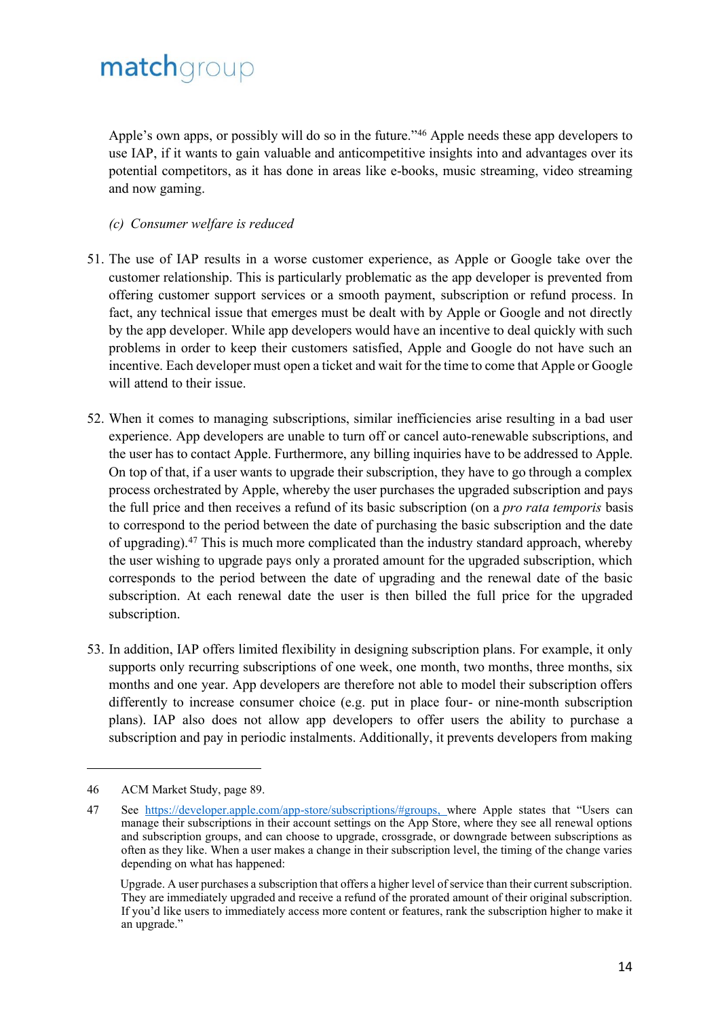Apple's own apps, or possibly will do so in the future."<sup>46</sup> Apple needs these app developers to use IAP, if it wants to gain valuable and anticompetitive insights into and advantages over its potential competitors, as it has done in areas like e-books, music streaming, video streaming and now gaming.

#### *(c) Consumer welfare is reduced*

- 51. The use of IAP results in a worse customer experience, as Apple or Google take over the customer relationship. This is particularly problematic as the app developer is prevented from offering customer support services or a smooth payment, subscription or refund process. In fact, any technical issue that emerges must be dealt with by Apple or Google and not directly by the app developer. While app developers would have an incentive to deal quickly with such problems in order to keep their customers satisfied, Apple and Google do not have such an incentive. Each developer must open a ticket and wait for the time to come that Apple or Google will attend to their issue.
- 52. When it comes to managing subscriptions, similar inefficiencies arise resulting in a bad user experience. App developers are unable to turn off or cancel auto-renewable subscriptions, and the user has to contact Apple. Furthermore, any billing inquiries have to be addressed to Apple. On top of that, if a user wants to upgrade their subscription, they have to go through a complex process orchestrated by Apple, whereby the user purchases the upgraded subscription and pays the full price and then receives a refund of its basic subscription (on a *pro rata temporis* basis to correspond to the period between the date of purchasing the basic subscription and the date of upgrading).<sup>47</sup> This is much more complicated than the industry standard approach, whereby the user wishing to upgrade pays only a prorated amount for the upgraded subscription, which corresponds to the period between the date of upgrading and the renewal date of the basic subscription. At each renewal date the user is then billed the full price for the upgraded subscription.
- 53. In addition, IAP offers limited flexibility in designing subscription plans. For example, it only supports only recurring subscriptions of one week, one month, two months, three months, six months and one year. App developers are therefore not able to model their subscription offers differently to increase consumer choice (e.g. put in place four- or nine-month subscription plans). IAP also does not allow app developers to offer users the ability to purchase a subscription and pay in periodic instalments. Additionally, it prevents developers from making

<sup>46</sup> ACM Market Study, page 89.

<sup>47</sup> See [https://developer.apple.com/app-store/subscriptions/#groups, w](https://developer.apple.com/app-store/subscriptions/#groups, )here Apple states that "Users can manage their subscriptions in their account settings on the App Store, where they see all renewal options and subscription groups, and can choose to upgrade, crossgrade, or downgrade between subscriptions as often as they like. When a user makes a change in their subscription level, the timing of the change varies depending on what has happened:

Upgrade. A user purchases a subscription that offers a higher level of service than their current subscription. They are immediately upgraded and receive a refund of the prorated amount of their original subscription. If you'd like users to immediately access more content or features, rank the subscription higher to make it an upgrade."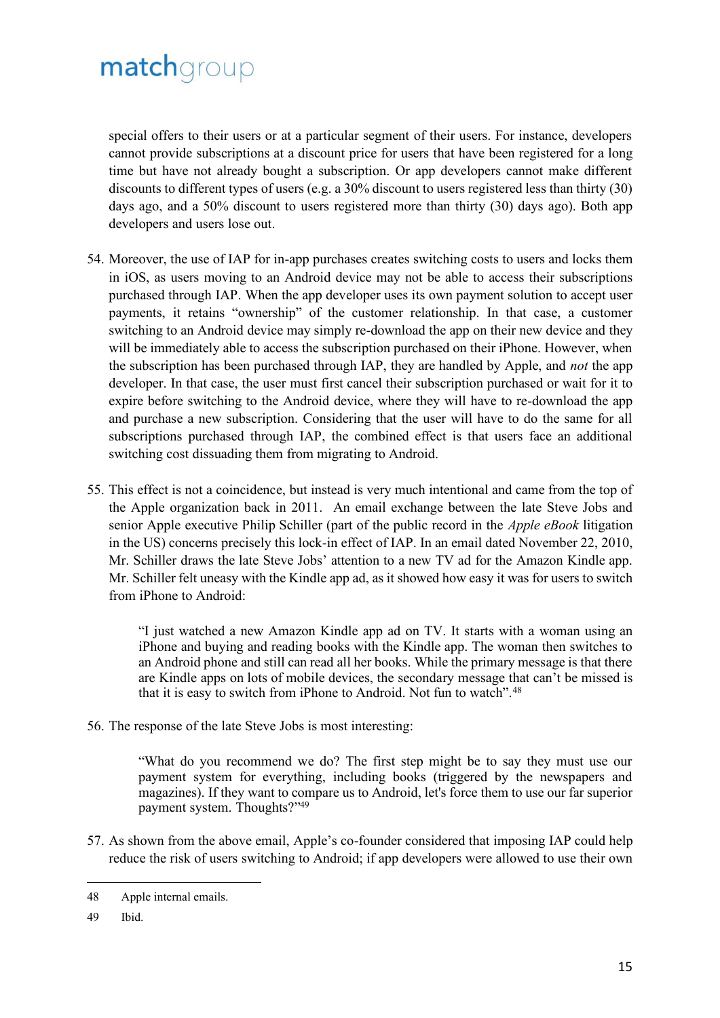special offers to their users or at a particular segment of their users. For instance, developers cannot provide subscriptions at a discount price for users that have been registered for a long time but have not already bought a subscription. Or app developers cannot make different discounts to different types of users (e.g. a 30% discount to users registered less than thirty (30) days ago, and a 50% discount to users registered more than thirty (30) days ago). Both app developers and users lose out.

- 54. Moreover, the use of IAP for in-app purchases creates switching costs to users and locks them in iOS, as users moving to an Android device may not be able to access their subscriptions purchased through IAP. When the app developer uses its own payment solution to accept user payments, it retains "ownership" of the customer relationship. In that case, a customer switching to an Android device may simply re-download the app on their new device and they will be immediately able to access the subscription purchased on their iPhone. However, when the subscription has been purchased through IAP, they are handled by Apple, and *not* the app developer. In that case, the user must first cancel their subscription purchased or wait for it to expire before switching to the Android device, where they will have to re-download the app and purchase a new subscription. Considering that the user will have to do the same for all subscriptions purchased through IAP, the combined effect is that users face an additional switching cost dissuading them from migrating to Android.
- 55. This effect is not a coincidence, but instead is very much intentional and came from the top of the Apple organization back in 2011. An email exchange between the late Steve Jobs and senior Apple executive Philip Schiller (part of the public record in the *Apple eBook* litigation in the US) concerns precisely this lock-in effect of IAP. In an email dated November 22, 2010, Mr. Schiller draws the late Steve Jobs' attention to a new TV ad for the Amazon Kindle app. Mr. Schiller felt uneasy with the Kindle app ad, as it showed how easy it was for users to switch from iPhone to Android:

"I just watched a new Amazon Kindle app ad on TV. It starts with a woman using an iPhone and buying and reading books with the Kindle app. The woman then switches to an Android phone and still can read all her books. While the primary message is that there are Kindle apps on lots of mobile devices, the secondary message that can't be missed is that it is easy to switch from iPhone to Android. Not fun to watch".<sup>48</sup>

56. The response of the late Steve Jobs is most interesting:

"What do you recommend we do? The first step might be to say they must use our payment system for everything, including books (triggered by the newspapers and magazines). If they want to compare us to Android, let's force them to use our far superior payment system. Thoughts?"<sup>49</sup>

57. As shown from the above email, Apple's co-founder considered that imposing IAP could help reduce the risk of users switching to Android; if app developers were allowed to use their own

<sup>48</sup> Apple internal emails.

<sup>49</sup> Ibid.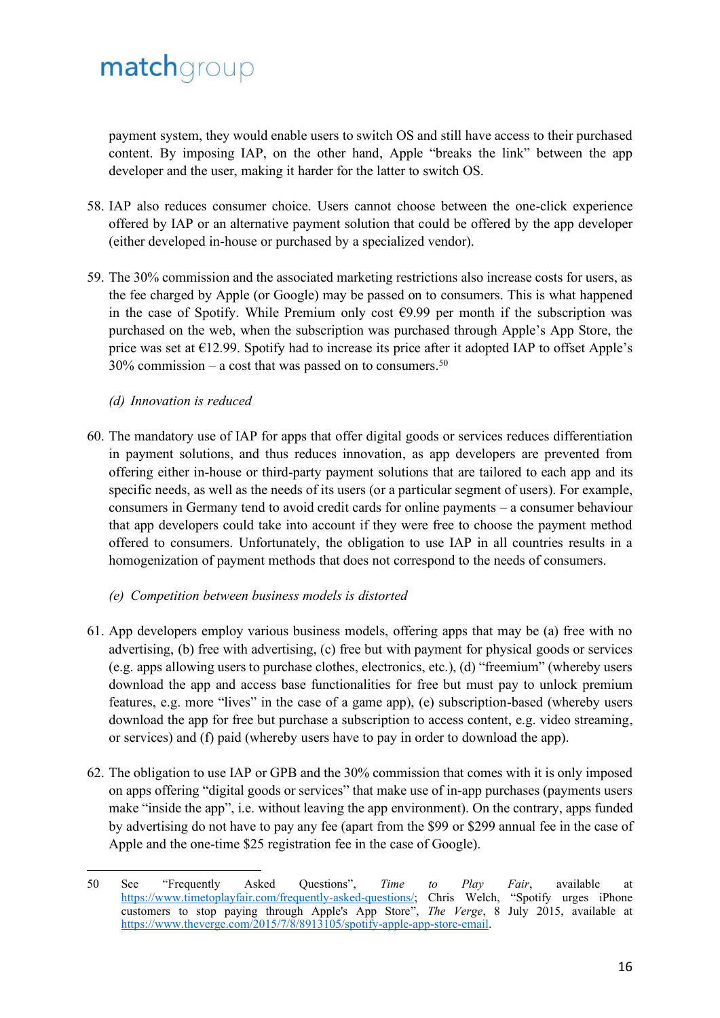payment system, they would enable users to switch OS and still have access to their purchased content. By imposing IAP, on the other hand, Apple "breaks the link" between the app developer and the user, making it harder for the latter to switch OS.

- 58. IAP also reduces consumer choice. Users cannot choose between the one-click experience offered by IAP or an alternative payment solution that could be offered by the app developer (either developed in-house or purchased by a specialized vendor).
- 59. The 30% commission and the associated marketing restrictions also increase costs for users, as the fee charged by Apple (or Google) may be passed on to consumers. This is what happened in the case of Spotify. While Premium only cost  $69.99$  per month if the subscription was purchased on the web, when the subscription was purchased through Apple's App Store, the price was set at  $E12.99$ . Spotify had to increase its price after it adopted IAP to offset Apple's 30% commission – a cost that was passed on to consumers.<sup>50</sup>

#### *(d) Innovation is reduced*

- 60. The mandatory use of IAP for apps that offer digital goods or services reduces differentiation in payment solutions, and thus reduces innovation, as app developers are prevented from offering either in-house or third-party payment solutions that are tailored to each app and its specific needs, as well as the needs of its users (or a particular segment of users). For example, consumers in Germany tend to avoid credit cards for online payments – a consumer behaviour that app developers could take into account if they were free to choose the payment method offered to consumers. Unfortunately, the obligation to use IAP in all countries results in a homogenization of payment methods that does not correspond to the needs of consumers.
	- *(e) Competition between business models is distorted*
- 61. App developers employ various business models, offering apps that may be (a) free with no advertising, (b) free with advertising, (c) free but with payment for physical goods or services (e.g. apps allowing users to purchase clothes, electronics, etc.), (d) "freemium" (whereby users download the app and access base functionalities for free but must pay to unlock premium features, e.g. more "lives" in the case of a game app), (e) subscription-based (whereby users download the app for free but purchase a subscription to access content, e.g. video streaming, or services) and (f) paid (whereby users have to pay in order to download the app).
- 62. The obligation to use IAP or GPB and the 30% commission that comes with it is only imposed on apps offering "digital goods or services" that make use of in-app purchases (payments users make "inside the app", i.e. without leaving the app environment). On the contrary, apps funded by advertising do not have to pay any fee (apart from the \$99 or \$299 annual fee in the case of Apple and the one-time \$25 registration fee in the case of Google).

<sup>50</sup> See "Frequently Asked Questions", *Time to Play Fair*, available at [https://www.timetoplayfair.com/frequently-asked-questions/;](https://www.timetoplayfair.com/frequently-asked-questions/) Chris Welch, "Spotify urges iPhone customers to stop paying through Apple's App Store", *The Verge*, 8 July 2015, available at [https://www.theverge.com/2015/7/8/8913105/spotify-apple-app-store-email.](https://www.theverge.com/2015/7/8/8913105/spotify-apple-app-store-email)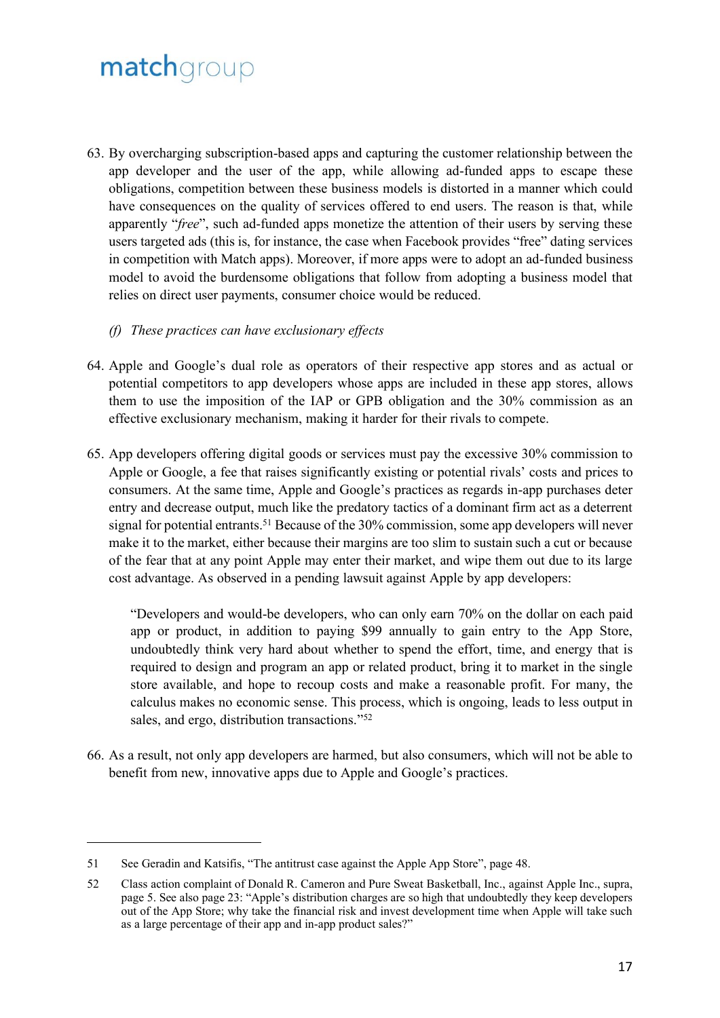- 63. By overcharging subscription-based apps and capturing the customer relationship between the app developer and the user of the app, while allowing ad-funded apps to escape these obligations, competition between these business models is distorted in a manner which could have consequences on the quality of services offered to end users. The reason is that, while apparently "*free*", such ad-funded apps monetize the attention of their users by serving these users targeted ads (this is, for instance, the case when Facebook provides "free" dating services in competition with Match apps). Moreover, if more apps were to adopt an ad-funded business model to avoid the burdensome obligations that follow from adopting a business model that relies on direct user payments, consumer choice would be reduced.
	- *(f) These practices can have exclusionary effects*
- 64. Apple and Google's dual role as operators of their respective app stores and as actual or potential competitors to app developers whose apps are included in these app stores, allows them to use the imposition of the IAP or GPB obligation and the 30% commission as an effective exclusionary mechanism, making it harder for their rivals to compete.
- 65. App developers offering digital goods or services must pay the excessive 30% commission to Apple or Google, a fee that raises significantly existing or potential rivals' costs and prices to consumers. At the same time, Apple and Google's practices as regards in-app purchases deter entry and decrease output, much like the predatory tactics of a dominant firm act as a deterrent signal for potential entrants.<sup>51</sup> Because of the 30% commission, some app developers will never make it to the market, either because their margins are too slim to sustain such a cut or because of the fear that at any point Apple may enter their market, and wipe them out due to its large cost advantage. As observed in a pending lawsuit against Apple by app developers:

"Developers and would-be developers, who can only earn 70% on the dollar on each paid app or product, in addition to paying \$99 annually to gain entry to the App Store, undoubtedly think very hard about whether to spend the effort, time, and energy that is required to design and program an app or related product, bring it to market in the single store available, and hope to recoup costs and make a reasonable profit. For many, the calculus makes no economic sense. This process, which is ongoing, leads to less output in sales, and ergo, distribution transactions."<sup>52</sup>

66. As a result, not only app developers are harmed, but also consumers, which will not be able to benefit from new, innovative apps due to Apple and Google's practices.

<sup>51</sup> See Geradin and Katsifis, "The antitrust case against the Apple App Store", page 48.

<sup>52</sup> Class action complaint of Donald R. Cameron and Pure Sweat Basketball, Inc., against Apple Inc., supra, page 5. See also page 23: "Apple's distribution charges are so high that undoubtedly they keep developers out of the App Store; why take the financial risk and invest development time when Apple will take such as a large percentage of their app and in-app product sales?"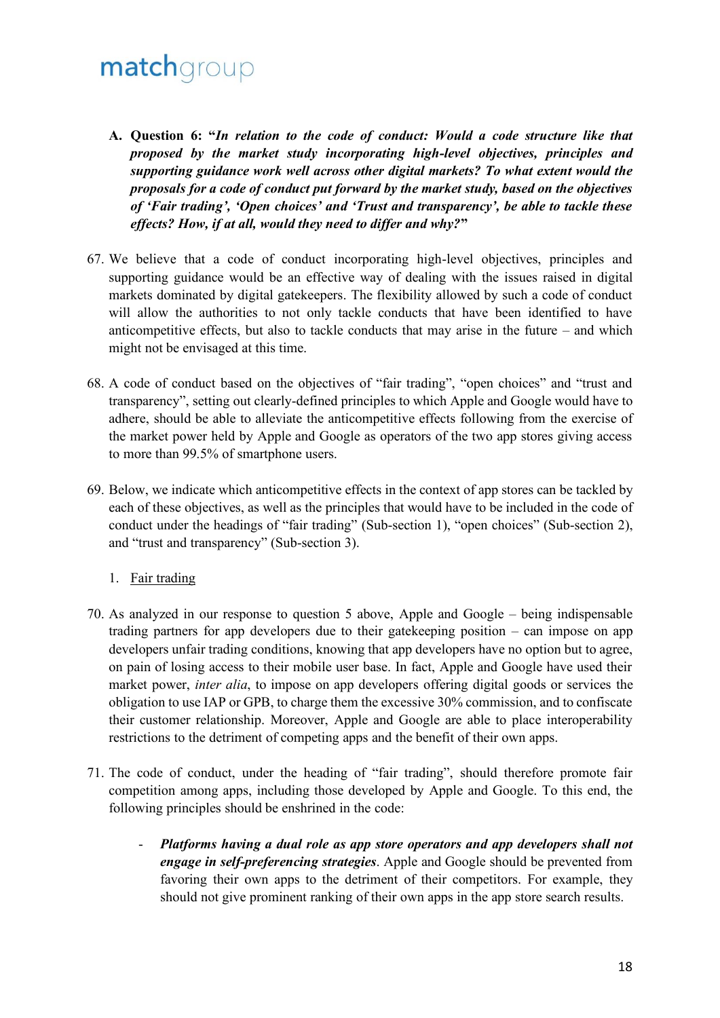- **A. Question 6: "***In relation to the code of conduct: Would a code structure like that proposed by the market study incorporating high-level objectives, principles and supporting guidance work well across other digital markets? To what extent would the proposals for a code of conduct put forward by the market study, based on the objectives of 'Fair trading', 'Open choices' and 'Trust and transparency', be able to tackle these effects? How, if at all, would they need to differ and why?***"**
- 67. We believe that a code of conduct incorporating high-level objectives, principles and supporting guidance would be an effective way of dealing with the issues raised in digital markets dominated by digital gatekeepers. The flexibility allowed by such a code of conduct will allow the authorities to not only tackle conducts that have been identified to have anticompetitive effects, but also to tackle conducts that may arise in the future – and which might not be envisaged at this time.
- 68. A code of conduct based on the objectives of "fair trading", "open choices" and "trust and transparency", setting out clearly-defined principles to which Apple and Google would have to adhere, should be able to alleviate the anticompetitive effects following from the exercise of the market power held by Apple and Google as operators of the two app stores giving access to more than 99.5% of smartphone users.
- 69. Below, we indicate which anticompetitive effects in the context of app stores can be tackled by each of these objectives, as well as the principles that would have to be included in the code of conduct under the headings of "fair trading" (Sub-section 1), "open choices" (Sub-section 2), and "trust and transparency" (Sub-section 3).
	- 1. Fair trading
- 70. As analyzed in our response to question 5 above, Apple and Google being indispensable trading partners for app developers due to their gatekeeping position – can impose on app developers unfair trading conditions, knowing that app developers have no option but to agree, on pain of losing access to their mobile user base. In fact, Apple and Google have used their market power, *inter alia*, to impose on app developers offering digital goods or services the obligation to use IAP or GPB, to charge them the excessive 30% commission, and to confiscate their customer relationship. Moreover, Apple and Google are able to place interoperability restrictions to the detriment of competing apps and the benefit of their own apps.
- 71. The code of conduct, under the heading of "fair trading", should therefore promote fair competition among apps, including those developed by Apple and Google. To this end, the following principles should be enshrined in the code:
	- *Platforms having a dual role as app store operators and app developers shall not engage in self-preferencing strategies*. Apple and Google should be prevented from favoring their own apps to the detriment of their competitors. For example, they should not give prominent ranking of their own apps in the app store search results.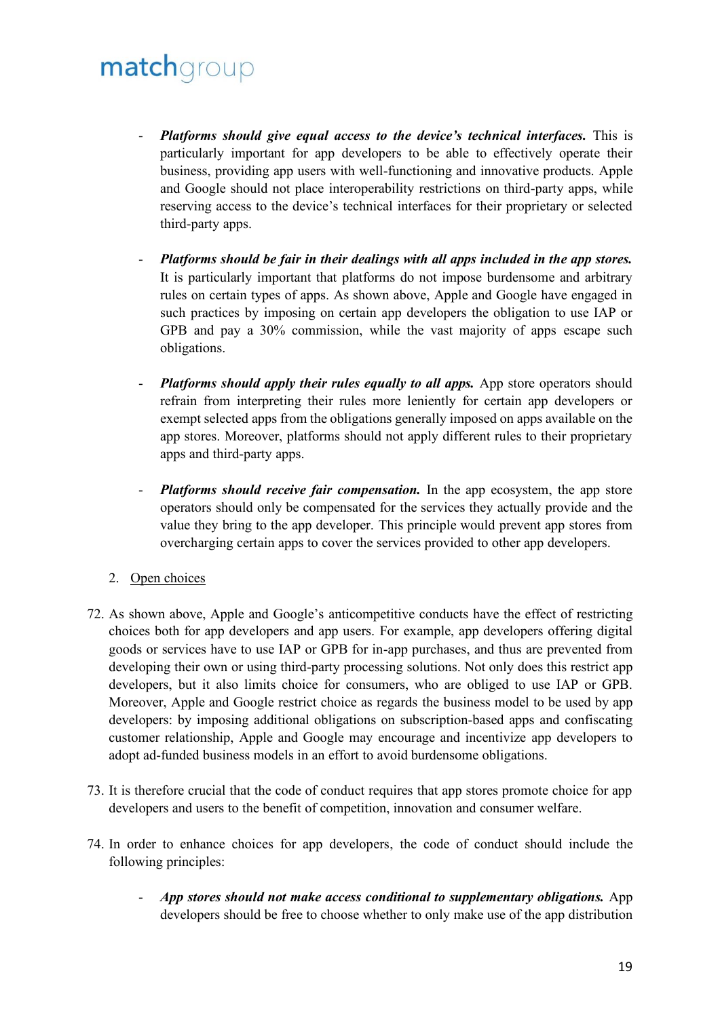- *Platforms should give equal access to the device's technical interfaces.* This is particularly important for app developers to be able to effectively operate their business, providing app users with well-functioning and innovative products. Apple and Google should not place interoperability restrictions on third-party apps, while reserving access to the device's technical interfaces for their proprietary or selected third-party apps.
- *Platforms should be fair in their dealings with all apps included in the app stores.*  It is particularly important that platforms do not impose burdensome and arbitrary rules on certain types of apps. As shown above, Apple and Google have engaged in such practices by imposing on certain app developers the obligation to use IAP or GPB and pay a 30% commission, while the vast majority of apps escape such obligations.
- *Platforms should apply their rules equally to all apps.* App store operators should refrain from interpreting their rules more leniently for certain app developers or exempt selected apps from the obligations generally imposed on apps available on the app stores. Moreover, platforms should not apply different rules to their proprietary apps and third-party apps.
- *Platforms should receive fair compensation.* In the app ecosystem, the app store operators should only be compensated for the services they actually provide and the value they bring to the app developer. This principle would prevent app stores from overcharging certain apps to cover the services provided to other app developers.
- 2. Open choices
- 72. As shown above, Apple and Google's anticompetitive conducts have the effect of restricting choices both for app developers and app users. For example, app developers offering digital goods or services have to use IAP or GPB for in-app purchases, and thus are prevented from developing their own or using third-party processing solutions. Not only does this restrict app developers, but it also limits choice for consumers, who are obliged to use IAP or GPB. Moreover, Apple and Google restrict choice as regards the business model to be used by app developers: by imposing additional obligations on subscription-based apps and confiscating customer relationship, Apple and Google may encourage and incentivize app developers to adopt ad-funded business models in an effort to avoid burdensome obligations.
- 73. It is therefore crucial that the code of conduct requires that app stores promote choice for app developers and users to the benefit of competition, innovation and consumer welfare.
- 74. In order to enhance choices for app developers, the code of conduct should include the following principles:
	- *App stores should not make access conditional to supplementary obligations.* App developers should be free to choose whether to only make use of the app distribution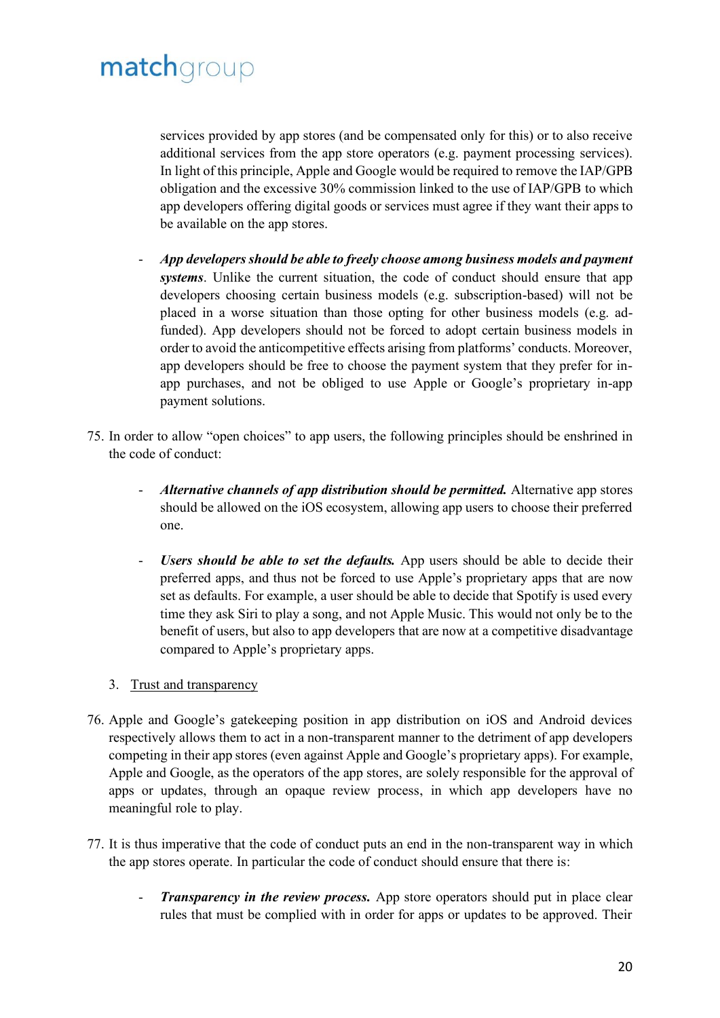services provided by app stores (and be compensated only for this) or to also receive additional services from the app store operators (e.g. payment processing services). In light of this principle, Apple and Google would be required to remove the IAP/GPB obligation and the excessive 30% commission linked to the use of IAP/GPB to which app developers offering digital goods or services must agree if they want their apps to be available on the app stores.

- *App developers should be able to freely choose among business models and payment systems*. Unlike the current situation, the code of conduct should ensure that app developers choosing certain business models (e.g. subscription-based) will not be placed in a worse situation than those opting for other business models (e.g. adfunded). App developers should not be forced to adopt certain business models in order to avoid the anticompetitive effects arising from platforms' conducts. Moreover, app developers should be free to choose the payment system that they prefer for inapp purchases, and not be obliged to use Apple or Google's proprietary in-app payment solutions.
- 75. In order to allow "open choices" to app users, the following principles should be enshrined in the code of conduct:
	- *Alternative channels of app distribution should be permitted.* Alternative app stores should be allowed on the iOS ecosystem, allowing app users to choose their preferred one.
	- Users should be able to set the defaults. App users should be able to decide their preferred apps, and thus not be forced to use Apple's proprietary apps that are now set as defaults. For example, a user should be able to decide that Spotify is used every time they ask Siri to play a song, and not Apple Music. This would not only be to the benefit of users, but also to app developers that are now at a competitive disadvantage compared to Apple's proprietary apps.

### 3. Trust and transparency

- 76. Apple and Google's gatekeeping position in app distribution on iOS and Android devices respectively allows them to act in a non-transparent manner to the detriment of app developers competing in their app stores (even against Apple and Google's proprietary apps). For example, Apple and Google, as the operators of the app stores, are solely responsible for the approval of apps or updates, through an opaque review process, in which app developers have no meaningful role to play.
- 77. It is thus imperative that the code of conduct puts an end in the non-transparent way in which the app stores operate. In particular the code of conduct should ensure that there is:
	- *Transparency in the review process.* App store operators should put in place clear rules that must be complied with in order for apps or updates to be approved. Their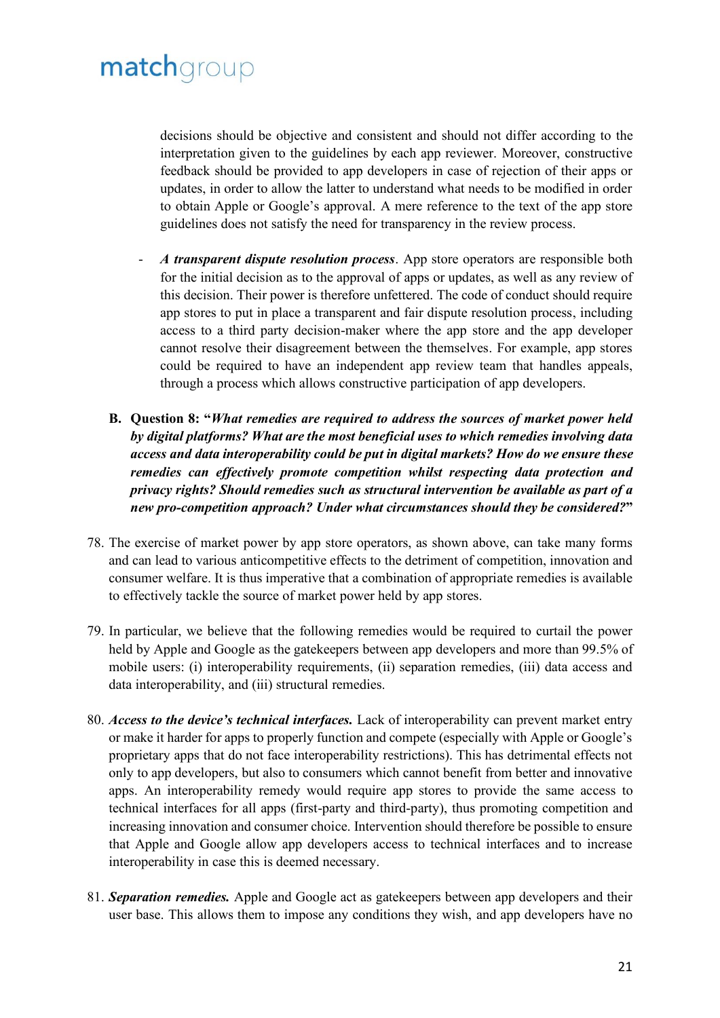decisions should be objective and consistent and should not differ according to the interpretation given to the guidelines by each app reviewer. Moreover, constructive feedback should be provided to app developers in case of rejection of their apps or updates, in order to allow the latter to understand what needs to be modified in order to obtain Apple or Google's approval. A mere reference to the text of the app store guidelines does not satisfy the need for transparency in the review process.

- A *transparent dispute resolution process*. App store operators are responsible both for the initial decision as to the approval of apps or updates, as well as any review of this decision. Their power is therefore unfettered. The code of conduct should require app stores to put in place a transparent and fair dispute resolution process, including access to a third party decision-maker where the app store and the app developer cannot resolve their disagreement between the themselves. For example, app stores could be required to have an independent app review team that handles appeals, through a process which allows constructive participation of app developers.
- **B. Question 8: "***What remedies are required to address the sources of market power held by digital platforms? What are the most beneficial uses to which remedies involving data access and data interoperability could be put in digital markets? How do we ensure these remedies can effectively promote competition whilst respecting data protection and privacy rights? Should remedies such as structural intervention be available as part of a new pro-competition approach? Under what circumstances should they be considered?***"**
- 78. The exercise of market power by app store operators, as shown above, can take many forms and can lead to various anticompetitive effects to the detriment of competition, innovation and consumer welfare. It is thus imperative that a combination of appropriate remedies is available to effectively tackle the source of market power held by app stores.
- 79. In particular, we believe that the following remedies would be required to curtail the power held by Apple and Google as the gatekeepers between app developers and more than 99.5% of mobile users: (i) interoperability requirements, (ii) separation remedies, (iii) data access and data interoperability, and (iii) structural remedies.
- 80. *Access to the device's technical interfaces.* Lack of interoperability can prevent market entry or make it harder for apps to properly function and compete (especially with Apple or Google's proprietary apps that do not face interoperability restrictions). This has detrimental effects not only to app developers, but also to consumers which cannot benefit from better and innovative apps. An interoperability remedy would require app stores to provide the same access to technical interfaces for all apps (first-party and third-party), thus promoting competition and increasing innovation and consumer choice. Intervention should therefore be possible to ensure that Apple and Google allow app developers access to technical interfaces and to increase interoperability in case this is deemed necessary.
- 81. *Separation remedies.* Apple and Google act as gatekeepers between app developers and their user base. This allows them to impose any conditions they wish, and app developers have no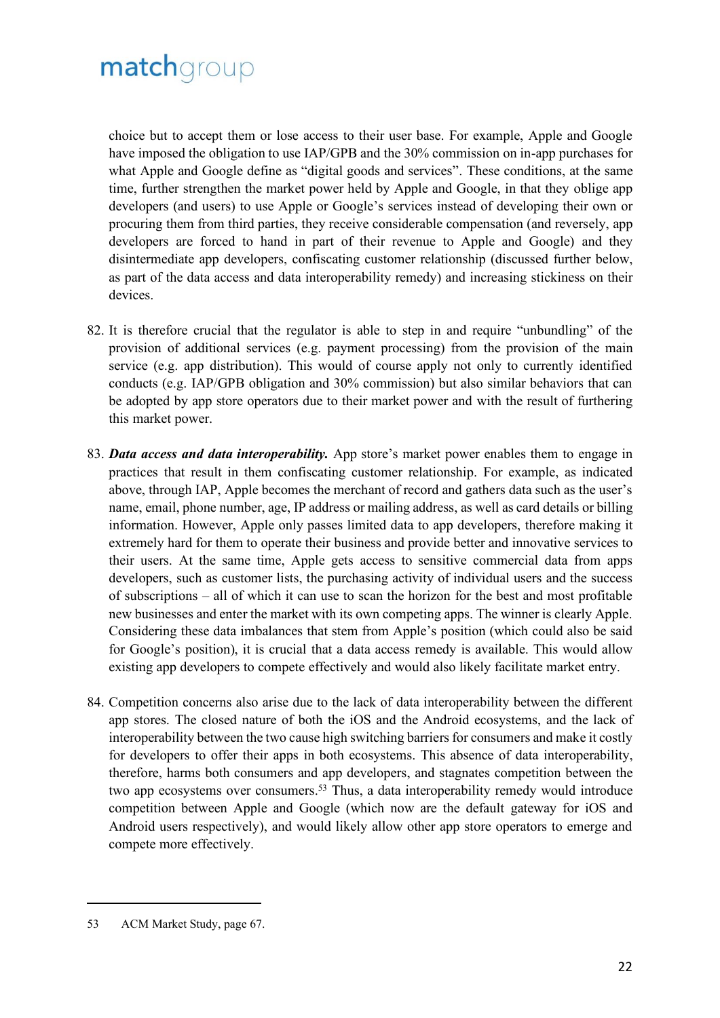choice but to accept them or lose access to their user base. For example, Apple and Google have imposed the obligation to use IAP/GPB and the 30% commission on in-app purchases for what Apple and Google define as "digital goods and services". These conditions, at the same time, further strengthen the market power held by Apple and Google, in that they oblige app developers (and users) to use Apple or Google's services instead of developing their own or procuring them from third parties, they receive considerable compensation (and reversely, app developers are forced to hand in part of their revenue to Apple and Google) and they disintermediate app developers, confiscating customer relationship (discussed further below, as part of the data access and data interoperability remedy) and increasing stickiness on their devices.

- 82. It is therefore crucial that the regulator is able to step in and require "unbundling" of the provision of additional services (e.g. payment processing) from the provision of the main service (e.g. app distribution). This would of course apply not only to currently identified conducts (e.g. IAP/GPB obligation and 30% commission) but also similar behaviors that can be adopted by app store operators due to their market power and with the result of furthering this market power.
- 83. *Data access and data interoperability.* App store's market power enables them to engage in practices that result in them confiscating customer relationship. For example, as indicated above, through IAP, Apple becomes the merchant of record and gathers data such as the user's name, email, phone number, age, IP address or mailing address, as well as card details or billing information. However, Apple only passes limited data to app developers, therefore making it extremely hard for them to operate their business and provide better and innovative services to their users. At the same time, Apple gets access to sensitive commercial data from apps developers, such as customer lists, the purchasing activity of individual users and the success of subscriptions – all of which it can use to scan the horizon for the best and most profitable new businesses and enter the market with its own competing apps. The winner is clearly Apple. Considering these data imbalances that stem from Apple's position (which could also be said for Google's position), it is crucial that a data access remedy is available. This would allow existing app developers to compete effectively and would also likely facilitate market entry.
- 84. Competition concerns also arise due to the lack of data interoperability between the different app stores. The closed nature of both the iOS and the Android ecosystems, and the lack of interoperability between the two cause high switching barriers for consumers and make it costly for developers to offer their apps in both ecosystems. This absence of data interoperability, therefore, harms both consumers and app developers, and stagnates competition between the two app ecosystems over consumers.<sup>53</sup> Thus, a data interoperability remedy would introduce competition between Apple and Google (which now are the default gateway for iOS and Android users respectively), and would likely allow other app store operators to emerge and compete more effectively.

<sup>53</sup> ACM Market Study, page 67.